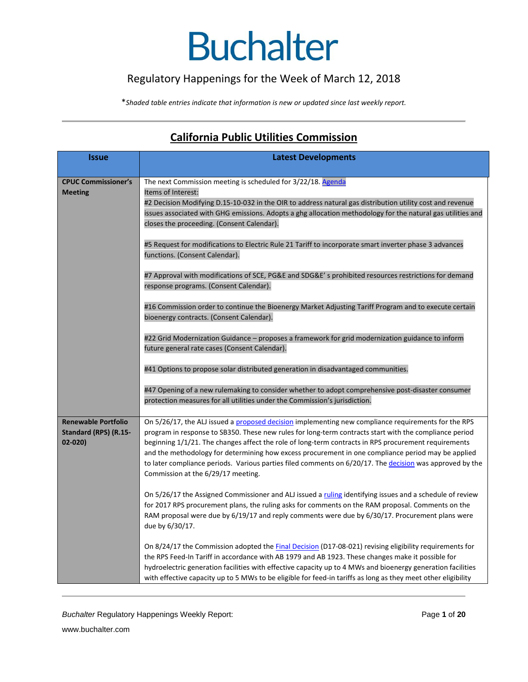## Regulatory Happenings for the Week of March 12, 2018

\**Shaded table entries indicate that information is new or updated since last weekly report.*

# **California Public Utilities Commission**

| <b>Issue</b>                                                      | <b>Latest Developments</b>                                                                                                                                                                                                                                                                                                                                                                                                                                                                                                                                                    |
|-------------------------------------------------------------------|-------------------------------------------------------------------------------------------------------------------------------------------------------------------------------------------------------------------------------------------------------------------------------------------------------------------------------------------------------------------------------------------------------------------------------------------------------------------------------------------------------------------------------------------------------------------------------|
| <b>CPUC Commissioner's</b><br><b>Meeting</b>                      | The next Commission meeting is scheduled for 3/22/18. Agenda<br>Items of Interest:<br>#2 Decision Modifying D.15-10-032 in the OIR to address natural gas distribution utility cost and revenue                                                                                                                                                                                                                                                                                                                                                                               |
|                                                                   | issues associated with GHG emissions. Adopts a ghg allocation methodology for the natural gas utilities and<br>closes the proceeding. (Consent Calendar).                                                                                                                                                                                                                                                                                                                                                                                                                     |
|                                                                   | #5 Request for modifications to Electric Rule 21 Tariff to incorporate smart inverter phase 3 advances<br>functions. (Consent Calendar).                                                                                                                                                                                                                                                                                                                                                                                                                                      |
|                                                                   | #7 Approval with modifications of SCE, PG&E and SDG&E's prohibited resources restrictions for demand<br>response programs. (Consent Calendar).<br>#16 Commission order to continue the Bioenergy Market Adjusting Tariff Program and to execute certain                                                                                                                                                                                                                                                                                                                       |
|                                                                   | bioenergy contracts. (Consent Calendar).<br>#22 Grid Modernization Guidance – proposes a framework for grid modernization guidance to inform                                                                                                                                                                                                                                                                                                                                                                                                                                  |
|                                                                   | future general rate cases (Consent Calendar).<br>#41 Options to propose solar distributed generation in disadvantaged communities.                                                                                                                                                                                                                                                                                                                                                                                                                                            |
|                                                                   | #47 Opening of a new rulemaking to consider whether to adopt comprehensive post-disaster consumer<br>protection measures for all utilities under the Commission's jurisdiction.                                                                                                                                                                                                                                                                                                                                                                                               |
| <b>Renewable Portfolio</b><br>Standard (RPS) (R.15-<br>$02 - 020$ | On 5/26/17, the ALJ issued a proposed decision implementing new compliance requirements for the RPS<br>program in response to SB350. These new rules for long-term contracts start with the compliance period<br>beginning 1/1/21. The changes affect the role of long-term contracts in RPS procurement requirements<br>and the methodology for determining how excess procurement in one compliance period may be applied<br>to later compliance periods. Various parties filed comments on 6/20/17. The decision was approved by the<br>Commission at the 6/29/17 meeting. |
|                                                                   | On 5/26/17 the Assigned Commissioner and ALJ issued a ruling identifying issues and a schedule of review<br>for 2017 RPS procurement plans, the ruling asks for comments on the RAM proposal. Comments on the<br>RAM proposal were due by 6/19/17 and reply comments were due by 6/30/17. Procurement plans were<br>due by 6/30/17.                                                                                                                                                                                                                                           |
|                                                                   | On 8/24/17 the Commission adopted the <b>Final Decision</b> (D17-08-021) revising eligibility requirements for<br>the RPS Feed-In Tariff in accordance with AB 1979 and AB 1923. These changes make it possible for<br>hydroelectric generation facilities with effective capacity up to 4 MWs and bioenergy generation facilities<br>with effective capacity up to 5 MWs to be eligible for feed-in tariffs as long as they meet other eligibility                                                                                                                           |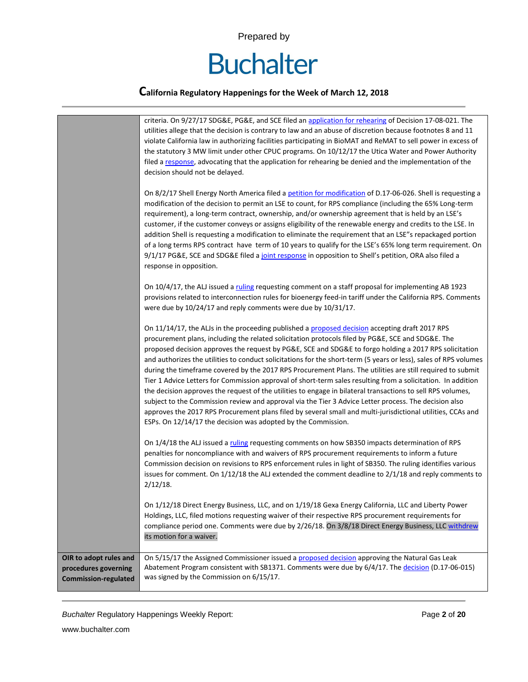

|                                                                               | criteria. On 9/27/17 SDG&E, PG&E, and SCE filed an application for rehearing of Decision 17-08-021. The<br>utilities allege that the decision is contrary to law and an abuse of discretion because footnotes 8 and 11<br>violate California law in authorizing facilities participating in BioMAT and ReMAT to sell power in excess of<br>the statutory 3 MW limit under other CPUC programs. On 10/12/17 the Utica Water and Power Authority<br>filed a response, advocating that the application for rehearing be denied and the implementation of the<br>decision should not be delayed.                                                                                                                                                                                                                                                                                                                                                                                                                                                                            |
|-------------------------------------------------------------------------------|-------------------------------------------------------------------------------------------------------------------------------------------------------------------------------------------------------------------------------------------------------------------------------------------------------------------------------------------------------------------------------------------------------------------------------------------------------------------------------------------------------------------------------------------------------------------------------------------------------------------------------------------------------------------------------------------------------------------------------------------------------------------------------------------------------------------------------------------------------------------------------------------------------------------------------------------------------------------------------------------------------------------------------------------------------------------------|
|                                                                               | On 8/2/17 Shell Energy North America filed a petition for modification of D.17-06-026. Shell is requesting a<br>modification of the decision to permit an LSE to count, for RPS compliance (including the 65% Long-term<br>requirement), a long-term contract, ownership, and/or ownership agreement that is held by an LSE's<br>customer, if the customer conveys or assigns eligibility of the renewable energy and credits to the LSE. In<br>addition Shell is requesting a modification to eliminate the requirement that an LSE"s repackaged portion<br>of a long terms RPS contract have term of 10 years to qualify for the LSE's 65% long term requirement. On<br>9/1/17 PG&E, SCE and SDG&E filed a joint response in opposition to Shell's petition, ORA also filed a<br>response in opposition.                                                                                                                                                                                                                                                              |
|                                                                               | On 10/4/17, the ALJ issued a ruling requesting comment on a staff proposal for implementing AB 1923<br>provisions related to interconnection rules for bioenergy feed-in tariff under the California RPS. Comments<br>were due by 10/24/17 and reply comments were due by 10/31/17.                                                                                                                                                                                                                                                                                                                                                                                                                                                                                                                                                                                                                                                                                                                                                                                     |
|                                                                               | On 11/14/17, the ALJs in the proceeding published a proposed decision accepting draft 2017 RPS<br>procurement plans, including the related solicitation protocols filed by PG&E, SCE and SDG&E. The<br>proposed decision approves the request by PG&E, SCE and SDG&E to forgo holding a 2017 RPS solicitation<br>and authorizes the utilities to conduct solicitations for the short-term (5 years or less), sales of RPS volumes<br>during the timeframe covered by the 2017 RPS Procurement Plans. The utilities are still required to submit<br>Tier 1 Advice Letters for Commission approval of short-term sales resulting from a solicitation. In addition<br>the decision approves the request of the utilities to engage in bilateral transactions to sell RPS volumes,<br>subject to the Commission review and approval via the Tier 3 Advice Letter process. The decision also<br>approves the 2017 RPS Procurement plans filed by several small and multi-jurisdictional utilities, CCAs and<br>ESPs. On 12/14/17 the decision was adopted by the Commission. |
|                                                                               | On 1/4/18 the ALJ issued a ruling requesting comments on how SB350 impacts determination of RPS<br>penalties for noncompliance with and waivers of RPS procurement requirements to inform a future<br>Commission decision on revisions to RPS enforcement rules in light of SB350. The ruling identifies various<br>issues for comment. On $1/12/18$ the ALJ extended the comment deadline to $2/1/18$ and reply comments to<br>$2/12/18$ .                                                                                                                                                                                                                                                                                                                                                                                                                                                                                                                                                                                                                             |
|                                                                               | On 1/12/18 Direct Energy Business, LLC, and on 1/19/18 Gexa Energy California, LLC and Liberty Power<br>Holdings, LLC, filed motions requesting waiver of their respective RPS procurement requirements for<br>compliance period one. Comments were due by 2/26/18. On 3/8/18 Direct Energy Business, LLC withdrew<br>its motion for a waiver.                                                                                                                                                                                                                                                                                                                                                                                                                                                                                                                                                                                                                                                                                                                          |
| OIR to adopt rules and<br>procedures governing<br><b>Commission-regulated</b> | On 5/15/17 the Assigned Commissioner issued a proposed decision approving the Natural Gas Leak<br>Abatement Program consistent with SB1371. Comments were due by 6/4/17. The decision (D.17-06-015)<br>was signed by the Commission on 6/15/17.                                                                                                                                                                                                                                                                                                                                                                                                                                                                                                                                                                                                                                                                                                                                                                                                                         |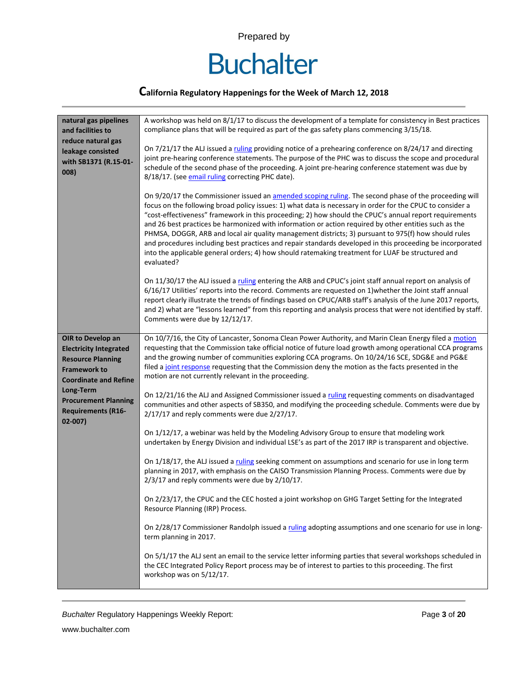

### **California Regulatory Happenings for the Week of March 12, 2018**

| natural gas pipelines                                                               | A workshop was held on 8/1/17 to discuss the development of a template for consistency in Best practices                                                                                                                                                                                                                                                                                                                                                                                                                                                                                                                                                                                                                                                                      |
|-------------------------------------------------------------------------------------|-------------------------------------------------------------------------------------------------------------------------------------------------------------------------------------------------------------------------------------------------------------------------------------------------------------------------------------------------------------------------------------------------------------------------------------------------------------------------------------------------------------------------------------------------------------------------------------------------------------------------------------------------------------------------------------------------------------------------------------------------------------------------------|
| and facilities to                                                                   | compliance plans that will be required as part of the gas safety plans commencing 3/15/18.                                                                                                                                                                                                                                                                                                                                                                                                                                                                                                                                                                                                                                                                                    |
| reduce natural gas                                                                  |                                                                                                                                                                                                                                                                                                                                                                                                                                                                                                                                                                                                                                                                                                                                                                               |
| leakage consisted                                                                   | On 7/21/17 the ALJ issued a ruling providing notice of a prehearing conference on 8/24/17 and directing                                                                                                                                                                                                                                                                                                                                                                                                                                                                                                                                                                                                                                                                       |
| with SB1371 (R.15-01-                                                               | joint pre-hearing conference statements. The purpose of the PHC was to discuss the scope and procedural                                                                                                                                                                                                                                                                                                                                                                                                                                                                                                                                                                                                                                                                       |
| 008)                                                                                | schedule of the second phase of the proceeding. A joint pre-hearing conference statement was due by                                                                                                                                                                                                                                                                                                                                                                                                                                                                                                                                                                                                                                                                           |
|                                                                                     | 8/18/17. (see email ruling correcting PHC date).                                                                                                                                                                                                                                                                                                                                                                                                                                                                                                                                                                                                                                                                                                                              |
|                                                                                     | On 9/20/17 the Commissioner issued an amended scoping ruling. The second phase of the proceeding will<br>focus on the following broad policy issues: 1) what data is necessary in order for the CPUC to consider a<br>"cost-effectiveness" framework in this proceeding; 2) how should the CPUC's annual report requirements<br>and 26 best practices be harmonized with information or action required by other entities such as the<br>PHMSA, DOGGR, ARB and local air quality management districts; 3) pursuant to 975(f) how should rules<br>and procedures including best practices and repair standards developed in this proceeding be incorporated<br>into the applicable general orders; 4) how should ratemaking treatment for LUAF be structured and<br>evaluated? |
|                                                                                     | On 11/30/17 the ALJ issued a ruling entering the ARB and CPUC's joint staff annual report on analysis of<br>6/16/17 Utilities' reports into the record. Comments are requested on 1) whether the Joint staff annual<br>report clearly illustrate the trends of findings based on CPUC/ARB staff's analysis of the June 2017 reports,<br>and 2) what are "lessons learned" from this reporting and analysis process that were not identified by staff.<br>Comments were due by 12/12/17.                                                                                                                                                                                                                                                                                       |
| OIR to Develop an                                                                   | On 10/7/16, the City of Lancaster, Sonoma Clean Power Authority, and Marin Clean Energy filed a motion                                                                                                                                                                                                                                                                                                                                                                                                                                                                                                                                                                                                                                                                        |
| <b>Electricity Integrated</b>                                                       | requesting that the Commission take official notice of future load growth among operational CCA programs                                                                                                                                                                                                                                                                                                                                                                                                                                                                                                                                                                                                                                                                      |
| <b>Resource Planning</b>                                                            | and the growing number of communities exploring CCA programs. On 10/24/16 SCE, SDG&E and PG&E                                                                                                                                                                                                                                                                                                                                                                                                                                                                                                                                                                                                                                                                                 |
| <b>Framework to</b>                                                                 | filed a joint response requesting that the Commission deny the motion as the facts presented in the<br>motion are not currently relevant in the proceeding.                                                                                                                                                                                                                                                                                                                                                                                                                                                                                                                                                                                                                   |
| <b>Coordinate and Refine</b>                                                        |                                                                                                                                                                                                                                                                                                                                                                                                                                                                                                                                                                                                                                                                                                                                                                               |
| Long-Term<br><b>Procurement Planning</b><br><b>Requirements (R16-</b><br>$02 - 007$ | On 12/21/16 the ALJ and Assigned Commissioner issued a ruling requesting comments on disadvantaged<br>communities and other aspects of SB350, and modifying the proceeding schedule. Comments were due by<br>2/17/17 and reply comments were due 2/27/17.                                                                                                                                                                                                                                                                                                                                                                                                                                                                                                                     |
|                                                                                     | On 1/12/17, a webinar was held by the Modeling Advisory Group to ensure that modeling work<br>undertaken by Energy Division and individual LSE's as part of the 2017 IRP is transparent and objective.                                                                                                                                                                                                                                                                                                                                                                                                                                                                                                                                                                        |
|                                                                                     | On 1/18/17, the ALJ issued a ruling seeking comment on assumptions and scenario for use in long term<br>planning in 2017, with emphasis on the CAISO Transmission Planning Process. Comments were due by<br>$2/3/17$ and reply comments were due by $2/10/17$ .                                                                                                                                                                                                                                                                                                                                                                                                                                                                                                               |
|                                                                                     | On 2/23/17, the CPUC and the CEC hosted a joint workshop on GHG Target Setting for the Integrated<br>Resource Planning (IRP) Process.                                                                                                                                                                                                                                                                                                                                                                                                                                                                                                                                                                                                                                         |
|                                                                                     | On 2/28/17 Commissioner Randolph issued a ruling adopting assumptions and one scenario for use in long-<br>term planning in 2017.                                                                                                                                                                                                                                                                                                                                                                                                                                                                                                                                                                                                                                             |
|                                                                                     | On 5/1/17 the ALJ sent an email to the service letter informing parties that several workshops scheduled in<br>the CEC Integrated Policy Report process may be of interest to parties to this proceeding. The first<br>workshop was on 5/12/17.                                                                                                                                                                                                                                                                                                                                                                                                                                                                                                                               |

**Buchalter Regulatory Happenings Weekly Report:** Page 3 of 20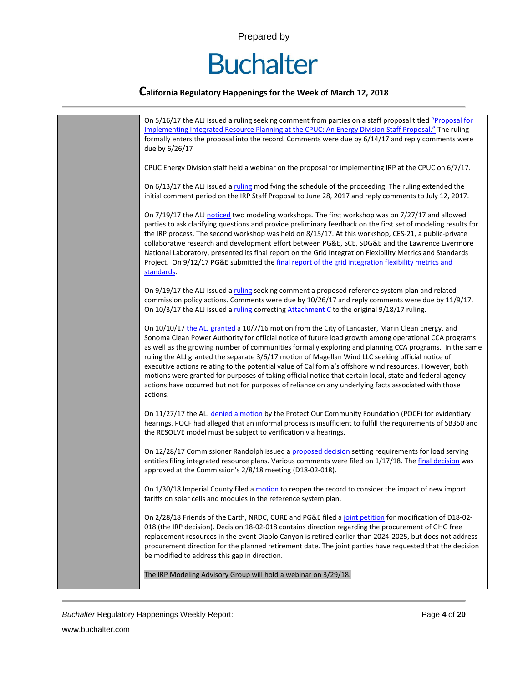

| On 5/16/17 the ALJ issued a ruling seeking comment from parties on a staff proposal titled "Proposal for                                                                                                          |
|-------------------------------------------------------------------------------------------------------------------------------------------------------------------------------------------------------------------|
| Implementing Integrated Resource Planning at the CPUC: An Energy Division Staff Proposal." The ruling                                                                                                             |
| formally enters the proposal into the record. Comments were due by 6/14/17 and reply comments were                                                                                                                |
| due by 6/26/17                                                                                                                                                                                                    |
|                                                                                                                                                                                                                   |
| CPUC Energy Division staff held a webinar on the proposal for implementing IRP at the CPUC on 6/7/17.                                                                                                             |
|                                                                                                                                                                                                                   |
| On 6/13/17 the ALJ issued a ruling modifying the schedule of the proceeding. The ruling extended the                                                                                                              |
| initial comment period on the IRP Staff Proposal to June 28, 2017 and reply comments to July 12, 2017.                                                                                                            |
|                                                                                                                                                                                                                   |
| On 7/19/17 the ALJ noticed two modeling workshops. The first workshop was on 7/27/17 and allowed<br>parties to ask clarifying questions and provide preliminary feedback on the first set of modeling results for |
| the IRP process. The second workshop was held on 8/15/17. At this workshop, CES-21, a public-private                                                                                                              |
| collaborative research and development effort between PG&E, SCE, SDG&E and the Lawrence Livermore                                                                                                                 |
| National Laboratory, presented its final report on the Grid Integration Flexibility Metrics and Standards                                                                                                         |
| Project. On 9/12/17 PG&E submitted the final report of the grid integration flexibility metrics and                                                                                                               |
| standards.                                                                                                                                                                                                        |
|                                                                                                                                                                                                                   |
| On 9/19/17 the ALJ issued a ruling seeking comment a proposed reference system plan and related                                                                                                                   |
| commission policy actions. Comments were due by 10/26/17 and reply comments were due by 11/9/17.<br>On 10/3/17 the ALJ issued a ruling correcting Attachment C to the original 9/18/17 ruling.                    |
|                                                                                                                                                                                                                   |
| On 10/10/17 the ALJ granted a 10/7/16 motion from the City of Lancaster, Marin Clean Energy, and                                                                                                                  |
| Sonoma Clean Power Authority for official notice of future load growth among operational CCA programs                                                                                                             |
| as well as the growing number of communities formally exploring and planning CCA programs. In the same                                                                                                            |
| ruling the ALJ granted the separate 3/6/17 motion of Magellan Wind LLC seeking official notice of                                                                                                                 |
| executive actions relating to the potential value of California's offshore wind resources. However, both                                                                                                          |
| motions were granted for purposes of taking official notice that certain local, state and federal agency<br>actions have occurred but not for purposes of reliance on any underlying facts associated with those  |
| actions.                                                                                                                                                                                                          |
|                                                                                                                                                                                                                   |
| On 11/27/17 the ALJ denied a motion by the Protect Our Community Foundation (POCF) for evidentiary                                                                                                                |
| hearings. POCF had alleged that an informal process is insufficient to fulfill the requirements of SB350 and                                                                                                      |
| the RESOLVE model must be subject to verification via hearings.                                                                                                                                                   |
| On 12/28/17 Commissioner Randolph issued a proposed decision setting requirements for load serving                                                                                                                |
| entities filing integrated resource plans. Various comments were filed on 1/17/18. The final decision was                                                                                                         |
| approved at the Commission's 2/8/18 meeting (D18-02-018).                                                                                                                                                         |
|                                                                                                                                                                                                                   |
| On 1/30/18 Imperial County filed a motion to reopen the record to consider the impact of new import                                                                                                               |
| tariffs on solar cells and modules in the reference system plan.                                                                                                                                                  |
|                                                                                                                                                                                                                   |
| On 2/28/18 Friends of the Earth, NRDC, CURE and PG&E filed a joint petition for modification of D18-02-<br>018 (the IRP decision). Decision 18-02-018 contains direction regarding the procurement of GHG free    |
| replacement resources in the event Diablo Canyon is retired earlier than 2024-2025, but does not address                                                                                                          |
| procurement direction for the planned retirement date. The joint parties have requested that the decision                                                                                                         |
| be modified to address this gap in direction.                                                                                                                                                                     |
|                                                                                                                                                                                                                   |
| The IRP Modeling Advisory Group will hold a webinar on 3/29/18.                                                                                                                                                   |
|                                                                                                                                                                                                                   |

**Buchalter Regulatory Happenings Weekly Report:** Page 4 of 20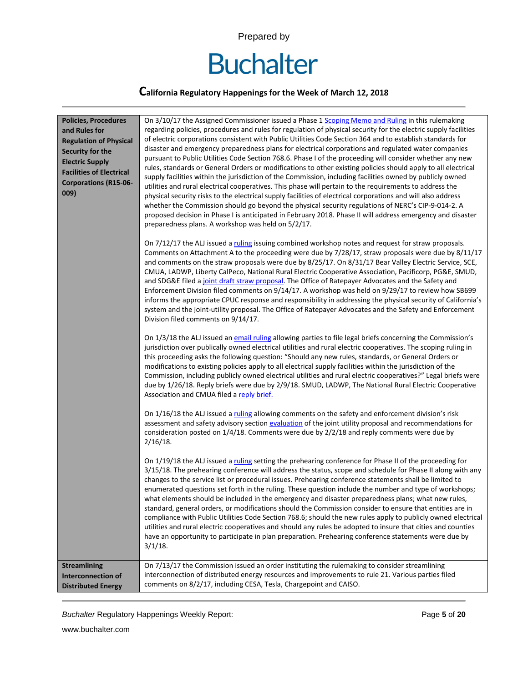

### **California Regulatory Happenings for the Week of March 12, 2018**

| <b>Policies, Procedures</b><br>and Rules for<br><b>Regulation of Physical</b><br>Security for the<br><b>Electric Supply</b><br><b>Facilities of Electrical</b><br><b>Corporations (R15-06-</b><br>009) | On 3/10/17 the Assigned Commissioner issued a Phase 1 Scoping Memo and Ruling in this rulemaking<br>regarding policies, procedures and rules for regulation of physical security for the electric supply facilities<br>of electric corporations consistent with Public Utilities Code Section 364 and to establish standards for<br>disaster and emergency preparedness plans for electrical corporations and regulated water companies<br>pursuant to Public Utilities Code Section 768.6. Phase I of the proceeding will consider whether any new<br>rules, standards or General Orders or modifications to other existing policies should apply to all electrical<br>supply facilities within the jurisdiction of the Commission, including facilities owned by publicly owned<br>utilities and rural electrical cooperatives. This phase will pertain to the requirements to address the<br>physical security risks to the electrical supply facilities of electrical corporations and will also address<br>whether the Commission should go beyond the physical security regulations of NERC's CIP-9-014-2. A<br>proposed decision in Phase I is anticipated in February 2018. Phase II will address emergency and disaster<br>preparedness plans. A workshop was held on 5/2/17.<br>On 7/12/17 the ALJ issued a ruling issuing combined workshop notes and request for straw proposals.<br>Comments on Attachment A to the proceeding were due by 7/28/17, straw proposals were due by 8/11/17<br>and comments on the straw proposals were due by 8/25/17. On 8/31/17 Bear Valley Electric Service, SCE,<br>CMUA, LADWP, Liberty CalPeco, National Rural Electric Cooperative Association, Pacificorp, PG&E, SMUD,<br>and SDG&E filed a joint draft straw proposal. The Office of Ratepayer Advocates and the Safety and<br>Enforcement Division filed comments on 9/14/17. A workshop was held on 9/29/17 to review how SB699<br>informs the appropriate CPUC response and responsibility in addressing the physical security of California's<br>system and the joint-utility proposal. The Office of Ratepayer Advocates and the Safety and Enforcement<br>Division filed comments on 9/14/17.<br>On 1/3/18 the ALJ issued an email ruling allowing parties to file legal briefs concerning the Commission's<br>jurisdiction over publically owned electrical utilities and rural electric cooperatives. The scoping ruling in<br>this proceeding asks the following question: "Should any new rules, standards, or General Orders or<br>modifications to existing policies apply to all electrical supply facilities within the jurisdiction of the<br>Commission, including publicly owned electrical utilities and rural electric cooperatives?" Legal briefs were<br>due by 1/26/18. Reply briefs were due by 2/9/18. SMUD, LADWP, The National Rural Electric Cooperative<br>Association and CMUA filed a reply brief.<br>On 1/16/18 the ALJ issued a ruling allowing comments on the safety and enforcement division's risk<br>assessment and safety advisory section evaluation of the joint utility proposal and recommendations for<br>consideration posted on 1/4/18. Comments were due by 2/2/18 and reply comments were due by<br>$2/16/18$ . |
|--------------------------------------------------------------------------------------------------------------------------------------------------------------------------------------------------------|-------------------------------------------------------------------------------------------------------------------------------------------------------------------------------------------------------------------------------------------------------------------------------------------------------------------------------------------------------------------------------------------------------------------------------------------------------------------------------------------------------------------------------------------------------------------------------------------------------------------------------------------------------------------------------------------------------------------------------------------------------------------------------------------------------------------------------------------------------------------------------------------------------------------------------------------------------------------------------------------------------------------------------------------------------------------------------------------------------------------------------------------------------------------------------------------------------------------------------------------------------------------------------------------------------------------------------------------------------------------------------------------------------------------------------------------------------------------------------------------------------------------------------------------------------------------------------------------------------------------------------------------------------------------------------------------------------------------------------------------------------------------------------------------------------------------------------------------------------------------------------------------------------------------------------------------------------------------------------------------------------------------------------------------------------------------------------------------------------------------------------------------------------------------------------------------------------------------------------------------------------------------------------------------------------------------------------------------------------------------------------------------------------------------------------------------------------------------------------------------------------------------------------------------------------------------------------------------------------------------------------------------------------------------------------------------------------------------------------------------------------------------------------------------------------------------------------------------------------------------------------------------------------------------------------------------------------------------------------------------------------------------------------------------------------------------------------------------------------------------------------------------------------------------------------------------------------------------------------------------------------------------|
|                                                                                                                                                                                                        | On 1/19/18 the ALJ issued a ruling setting the prehearing conference for Phase II of the proceeding for<br>3/15/18. The prehearing conference will address the status, scope and schedule for Phase II along with any<br>changes to the service list or procedural issues. Prehearing conference statements shall be limited to<br>enumerated questions set forth in the ruling. These question include the number and type of workshops;<br>what elements should be included in the emergency and disaster preparedness plans; what new rules,<br>standard, general orders, or modifications should the Commission consider to ensure that entities are in<br>compliance with Public Utilities Code Section 768.6; should the new rules apply to publicly owned electrical<br>utilities and rural electric cooperatives and should any rules be adopted to insure that cities and counties<br>have an opportunity to participate in plan preparation. Prehearing conference statements were due by<br>$3/1/18$ .                                                                                                                                                                                                                                                                                                                                                                                                                                                                                                                                                                                                                                                                                                                                                                                                                                                                                                                                                                                                                                                                                                                                                                                                                                                                                                                                                                                                                                                                                                                                                                                                                                                                                                                                                                                                                                                                                                                                                                                                                                                                                                                                                                                                                                                 |
| <b>Streamlining</b><br><b>Interconnection of</b><br><b>Distributed Energy</b>                                                                                                                          | On 7/13/17 the Commission issued an order instituting the rulemaking to consider streamlining<br>interconnection of distributed energy resources and improvements to rule 21. Various parties filed<br>comments on 8/2/17, including CESA, Tesla, Chargepoint and CAISO.                                                                                                                                                                                                                                                                                                                                                                                                                                                                                                                                                                                                                                                                                                                                                                                                                                                                                                                                                                                                                                                                                                                                                                                                                                                                                                                                                                                                                                                                                                                                                                                                                                                                                                                                                                                                                                                                                                                                                                                                                                                                                                                                                                                                                                                                                                                                                                                                                                                                                                                                                                                                                                                                                                                                                                                                                                                                                                                                                                                          |

**Buchalter Regulatory Happenings Weekly Report: Page 5** of **20 Page 5** of **20**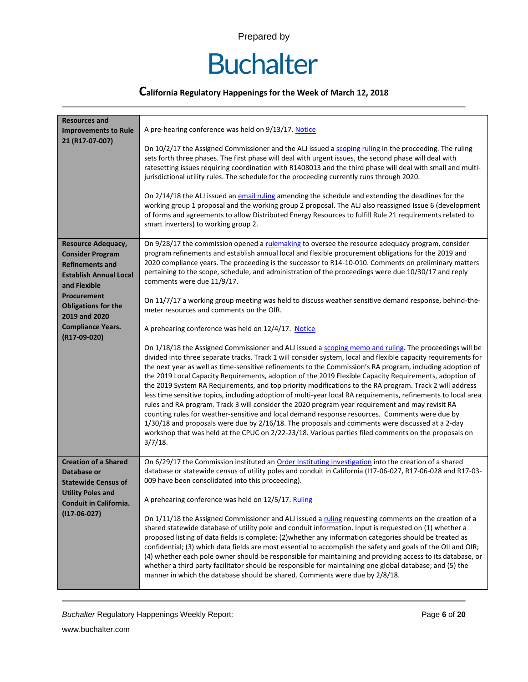# **Buchalter**

### **California Regulatory Happenings for the Week of March 12, 2018**

| <b>Resources and</b>                                                                                                     |                                                                                                                                                                                                                                                                                                                                                                                                                                                                                                                                                                                                                                                                                                                                                                                                                                                                                                                                                                                                                                                                                                            |
|--------------------------------------------------------------------------------------------------------------------------|------------------------------------------------------------------------------------------------------------------------------------------------------------------------------------------------------------------------------------------------------------------------------------------------------------------------------------------------------------------------------------------------------------------------------------------------------------------------------------------------------------------------------------------------------------------------------------------------------------------------------------------------------------------------------------------------------------------------------------------------------------------------------------------------------------------------------------------------------------------------------------------------------------------------------------------------------------------------------------------------------------------------------------------------------------------------------------------------------------|
| <b>Improvements to Rule</b>                                                                                              | A pre-hearing conference was held on 9/13/17. Notice                                                                                                                                                                                                                                                                                                                                                                                                                                                                                                                                                                                                                                                                                                                                                                                                                                                                                                                                                                                                                                                       |
| 21 (R17-07-007)                                                                                                          | On 10/2/17 the Assigned Commissioner and the ALJ issued a scoping ruling in the proceeding. The ruling<br>sets forth three phases. The first phase will deal with urgent issues, the second phase will deal with<br>ratesetting issues requiring coordination with R1408013 and the third phase will deal with small and multi-<br>jurisdictional utility rules. The schedule for the proceeding currently runs through 2020.                                                                                                                                                                                                                                                                                                                                                                                                                                                                                                                                                                                                                                                                              |
|                                                                                                                          | On 2/14/18 the ALJ issued an email ruling amending the schedule and extending the deadlines for the<br>working group 1 proposal and the working group 2 proposal. The ALJ also reassigned Issue 6 (development<br>of forms and agreements to allow Distributed Energy Resources to fulfill Rule 21 requirements related to<br>smart inverters) to working group 2.                                                                                                                                                                                                                                                                                                                                                                                                                                                                                                                                                                                                                                                                                                                                         |
| Resource Adequacy,<br><b>Consider Program</b><br><b>Refinements and</b><br><b>Establish Annual Local</b><br>and Flexible | On 9/28/17 the commission opened a rulemaking to oversee the resource adequacy program, consider<br>program refinements and establish annual local and flexible procurement obligations for the 2019 and<br>2020 compliance years. The proceeding is the successor to R14-10-010. Comments on preliminary matters<br>pertaining to the scope, schedule, and administration of the proceedings were due 10/30/17 and reply<br>comments were due 11/9/17.                                                                                                                                                                                                                                                                                                                                                                                                                                                                                                                                                                                                                                                    |
| Procurement<br><b>Obligations for the</b><br>2019 and 2020                                                               | On 11/7/17 a working group meeting was held to discuss weather sensitive demand response, behind-the-<br>meter resources and comments on the OIR.                                                                                                                                                                                                                                                                                                                                                                                                                                                                                                                                                                                                                                                                                                                                                                                                                                                                                                                                                          |
| <b>Compliance Years.</b><br>(R17-09-020)                                                                                 | A prehearing conference was held on 12/4/17. Notice                                                                                                                                                                                                                                                                                                                                                                                                                                                                                                                                                                                                                                                                                                                                                                                                                                                                                                                                                                                                                                                        |
|                                                                                                                          | On 1/18/18 the Assigned Commissioner and ALJ issued a scoping memo and ruling. The proceedings will be<br>divided into three separate tracks. Track 1 will consider system, local and flexible capacity requirements for<br>the next year as well as time-sensitive refinements to the Commission's RA program, including adoption of<br>the 2019 Local Capacity Requirements, adoption of the 2019 Flexible Capacity Requirements, adoption of<br>the 2019 System RA Requirements, and top priority modifications to the RA program. Track 2 will address<br>less time sensitive topics, including adoption of multi-year local RA requirements, refinements to local area<br>rules and RA program. Track 3 will consider the 2020 program year requirement and may revisit RA<br>counting rules for weather-sensitive and local demand response resources. Comments were due by<br>1/30/18 and proposals were due by 2/16/18. The proposals and comments were discussed at a 2-day<br>workshop that was held at the CPUC on 2/22-23/18. Various parties filed comments on the proposals on<br>$3/7/18$ . |
| <b>Creation of a Shared</b><br>Database or<br><b>Statewide Census of</b>                                                 | On 6/29/17 the Commission instituted an Order Instituting Investigation into the creation of a shared<br>database or statewide census of utility poles and conduit in California (117-06-027, R17-06-028 and R17-03-<br>009 have been consolidated into this proceeding).                                                                                                                                                                                                                                                                                                                                                                                                                                                                                                                                                                                                                                                                                                                                                                                                                                  |
| <b>Utility Poles and</b><br>Conduit in California.                                                                       | A prehearing conference was held on 12/5/17. Ruling                                                                                                                                                                                                                                                                                                                                                                                                                                                                                                                                                                                                                                                                                                                                                                                                                                                                                                                                                                                                                                                        |
| $(117-06-027)$                                                                                                           | On 1/11/18 the Assigned Commissioner and ALJ issued a ruling requesting comments on the creation of a<br>shared statewide database of utility pole and conduit information. Input is requested on (1) whether a<br>proposed listing of data fields is complete; (2) whether any information categories should be treated as<br>confidential; (3) which data fields are most essential to accomplish the safety and goals of the OII and OIR;<br>(4) whether each pole owner should be responsible for maintaining and providing access to its database, or<br>whether a third party facilitator should be responsible for maintaining one global database; and (5) the<br>manner in which the database should be shared. Comments were due by 2/8/18.                                                                                                                                                                                                                                                                                                                                                      |

**Buchalter Regulatory Happenings Weekly Report: Page 6** of 20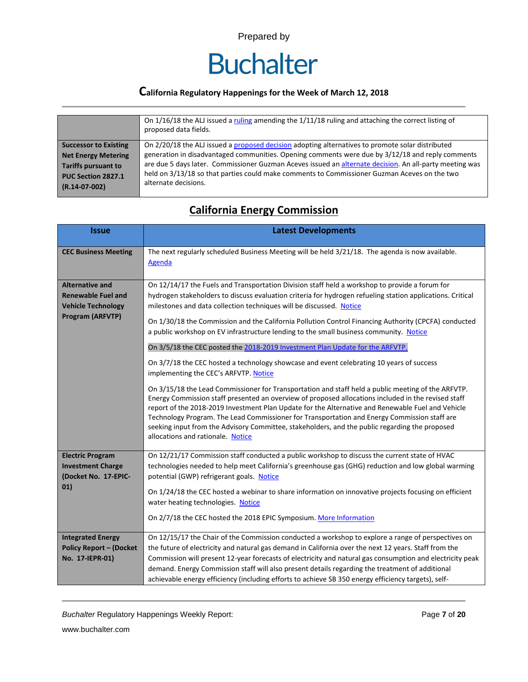

### **California Regulatory Happenings for the Week of March 12, 2018**

|                              | On 1/16/18 the ALJ issued a ruling amending the 1/11/18 ruling and attaching the correct listing of<br>proposed data fields. |
|------------------------------|------------------------------------------------------------------------------------------------------------------------------|
| <b>Successor to Existing</b> | On 2/20/18 the ALJ issued a proposed decision adopting alternatives to promote solar distributed                             |
| <b>Net Energy Metering</b>   | generation in disadvantaged communities. Opening comments were due by 3/12/18 and reply comments                             |
| <b>Tariffs pursuant to</b>   | are due 5 days later. Commissioner Guzman Aceves issued an alternate decision. An all-party meeting was                      |
| PUC Section 2827.1           | held on 3/13/18 so that parties could make comments to Commissioner Guzman Aceves on the two                                 |
| $(R.14-07-002)$              | alternate decisions.                                                                                                         |

## **California Energy Commission**

| <b>Issue</b>                                                                                         | <b>Latest Developments</b>                                                                                                                                                                                                                                                                                                                                                                                                                                                                                                                                                                                                                                                                                                                                                                                                                                                                                                                                                                                                                                                                                                                                                                                                                                           |
|------------------------------------------------------------------------------------------------------|----------------------------------------------------------------------------------------------------------------------------------------------------------------------------------------------------------------------------------------------------------------------------------------------------------------------------------------------------------------------------------------------------------------------------------------------------------------------------------------------------------------------------------------------------------------------------------------------------------------------------------------------------------------------------------------------------------------------------------------------------------------------------------------------------------------------------------------------------------------------------------------------------------------------------------------------------------------------------------------------------------------------------------------------------------------------------------------------------------------------------------------------------------------------------------------------------------------------------------------------------------------------|
| <b>CEC Business Meeting</b>                                                                          | The next regularly scheduled Business Meeting will be held 3/21/18. The agenda is now available.<br><b>Agenda</b>                                                                                                                                                                                                                                                                                                                                                                                                                                                                                                                                                                                                                                                                                                                                                                                                                                                                                                                                                                                                                                                                                                                                                    |
| <b>Alternative and</b><br><b>Renewable Fuel and</b><br><b>Vehicle Technology</b><br>Program (ARFVTP) | On 12/14/17 the Fuels and Transportation Division staff held a workshop to provide a forum for<br>hydrogen stakeholders to discuss evaluation criteria for hydrogen refueling station applications. Critical<br>milestones and data collection techniques will be discussed. Notice<br>On 1/30/18 the Commission and the California Pollution Control Financing Authority (CPCFA) conducted<br>a public workshop on EV infrastructure lending to the small business community. Notice<br>On 3/5/18 the CEC posted the 2018-2019 Investment Plan Update for the ARFVTP.<br>On 3/7/18 the CEC hosted a technology showcase and event celebrating 10 years of success<br>implementing the CEC's ARFVTP. Notice<br>On 3/15/18 the Lead Commissioner for Transportation and staff held a public meeting of the ARFVTP.<br>Energy Commission staff presented an overview of proposed allocations included in the revised staff<br>report of the 2018-2019 Investment Plan Update for the Alternative and Renewable Fuel and Vehicle<br>Technology Program. The Lead Commissioner for Transportation and Energy Commission staff are<br>seeking input from the Advisory Committee, stakeholders, and the public regarding the proposed<br>allocations and rationale. Notice |
| <b>Electric Program</b><br><b>Investment Charge</b><br>(Docket No. 17-EPIC-<br>01)                   | On 12/21/17 Commission staff conducted a public workshop to discuss the current state of HVAC<br>technologies needed to help meet California's greenhouse gas (GHG) reduction and low global warming<br>potential (GWP) refrigerant goals. Notice<br>On 1/24/18 the CEC hosted a webinar to share information on innovative projects focusing on efficient<br>water heating technologies. Notice<br>On 2/7/18 the CEC hosted the 2018 EPIC Symposium. More Information                                                                                                                                                                                                                                                                                                                                                                                                                                                                                                                                                                                                                                                                                                                                                                                               |
| <b>Integrated Energy</b><br><b>Policy Report - (Docket</b><br>No. 17-IEPR-01)                        | On 12/15/17 the Chair of the Commission conducted a workshop to explore a range of perspectives on<br>the future of electricity and natural gas demand in California over the next 12 years. Staff from the<br>Commission will present 12-year forecasts of electricity and natural gas consumption and electricity peak<br>demand. Energy Commission staff will also present details regarding the treatment of additional<br>achievable energy efficiency (including efforts to achieve SB 350 energy efficiency targets), self-                                                                                                                                                                                                                                                                                                                                                                                                                                                                                                                                                                                                                                                                                                                                   |

**Buchalter Regulatory Happenings Weekly Report:** Page 7 of 20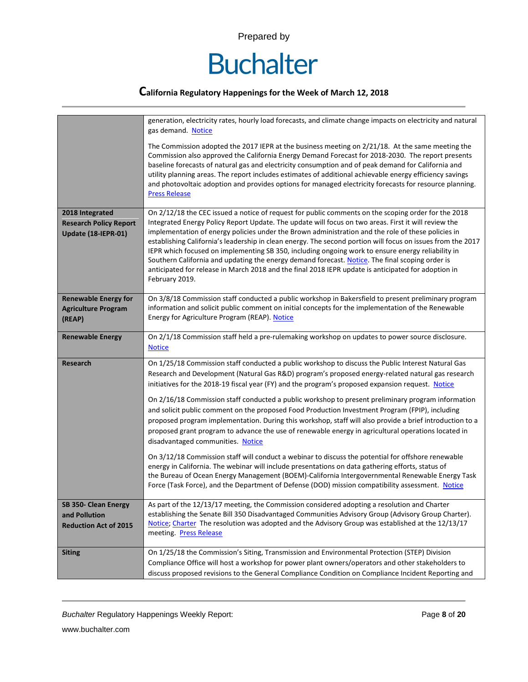

|                                                                         | generation, electricity rates, hourly load forecasts, and climate change impacts on electricity and natural<br>gas demand. Notice                                                                                                                                                                                                                                                                                                                                                                                                                                                                                                                                                                                                                                                                                                                                                                                                                                                                                                                                                                                                                                                               |
|-------------------------------------------------------------------------|-------------------------------------------------------------------------------------------------------------------------------------------------------------------------------------------------------------------------------------------------------------------------------------------------------------------------------------------------------------------------------------------------------------------------------------------------------------------------------------------------------------------------------------------------------------------------------------------------------------------------------------------------------------------------------------------------------------------------------------------------------------------------------------------------------------------------------------------------------------------------------------------------------------------------------------------------------------------------------------------------------------------------------------------------------------------------------------------------------------------------------------------------------------------------------------------------|
|                                                                         | The Commission adopted the 2017 IEPR at the business meeting on 2/21/18. At the same meeting the<br>Commission also approved the California Energy Demand Forecast for 2018-2030. The report presents<br>baseline forecasts of natural gas and electricity consumption and of peak demand for California and<br>utility planning areas. The report includes estimates of additional achievable energy efficiency savings<br>and photovoltaic adoption and provides options for managed electricity forecasts for resource planning.<br><b>Press Release</b>                                                                                                                                                                                                                                                                                                                                                                                                                                                                                                                                                                                                                                     |
| 2018 Integrated<br><b>Research Policy Report</b><br>Update (18-IEPR-01) | On 2/12/18 the CEC issued a notice of request for public comments on the scoping order for the 2018<br>Integrated Energy Policy Report Update. The update will focus on two areas. First it will review the<br>implementation of energy policies under the Brown administration and the role of these policies in<br>establishing California's leadership in clean energy. The second portion will focus on issues from the 2017<br>IEPR which focused on implementing SB 350, including ongoing work to ensure energy reliability in<br>Southern California and updating the energy demand forecast. Notice. The final scoping order is<br>anticipated for release in March 2018 and the final 2018 IEPR update is anticipated for adoption in<br>February 2019.                                                                                                                                                                                                                                                                                                                                                                                                                               |
| <b>Renewable Energy for</b><br><b>Agriculture Program</b><br>(REAP)     | On 3/8/18 Commission staff conducted a public workshop in Bakersfield to present preliminary program<br>information and solicit public comment on initial concepts for the implementation of the Renewable<br>Energy for Agriculture Program (REAP). Notice                                                                                                                                                                                                                                                                                                                                                                                                                                                                                                                                                                                                                                                                                                                                                                                                                                                                                                                                     |
| <b>Renewable Energy</b>                                                 | On 2/1/18 Commission staff held a pre-rulemaking workshop on updates to power source disclosure.<br><b>Notice</b>                                                                                                                                                                                                                                                                                                                                                                                                                                                                                                                                                                                                                                                                                                                                                                                                                                                                                                                                                                                                                                                                               |
| <b>Research</b>                                                         | On 1/25/18 Commission staff conducted a public workshop to discuss the Public Interest Natural Gas<br>Research and Development (Natural Gas R&D) program's proposed energy-related natural gas research<br>initiatives for the 2018-19 fiscal year (FY) and the program's proposed expansion request. Notice<br>On 2/16/18 Commission staff conducted a public workshop to present preliminary program information<br>and solicit public comment on the proposed Food Production Investment Program (FPIP), including<br>proposed program implementation. During this workshop, staff will also provide a brief introduction to a<br>proposed grant program to advance the use of renewable energy in agricultural operations located in<br>disadvantaged communities. Notice<br>On 3/12/18 Commission staff will conduct a webinar to discuss the potential for offshore renewable<br>energy in California. The webinar will include presentations on data gathering efforts, status of<br>the Bureau of Ocean Energy Management (BOEM)-California Intergovernmental Renewable Energy Task<br>Force (Task Force), and the Department of Defense (DOD) mission compatibility assessment. Notice |
| SB 350- Clean Energy<br>and Pollution<br><b>Reduction Act of 2015</b>   | As part of the 12/13/17 meeting, the Commission considered adopting a resolution and Charter<br>establishing the Senate Bill 350 Disadvantaged Communities Advisory Group (Advisory Group Charter).<br>Notice; Charter The resolution was adopted and the Advisory Group was established at the 12/13/17<br>meeting. Press Release                                                                                                                                                                                                                                                                                                                                                                                                                                                                                                                                                                                                                                                                                                                                                                                                                                                              |
| <b>Siting</b>                                                           | On 1/25/18 the Commission's Siting, Transmission and Environmental Protection (STEP) Division<br>Compliance Office will host a workshop for power plant owners/operators and other stakeholders to<br>discuss proposed revisions to the General Compliance Condition on Compliance Incident Reporting and                                                                                                                                                                                                                                                                                                                                                                                                                                                                                                                                                                                                                                                                                                                                                                                                                                                                                       |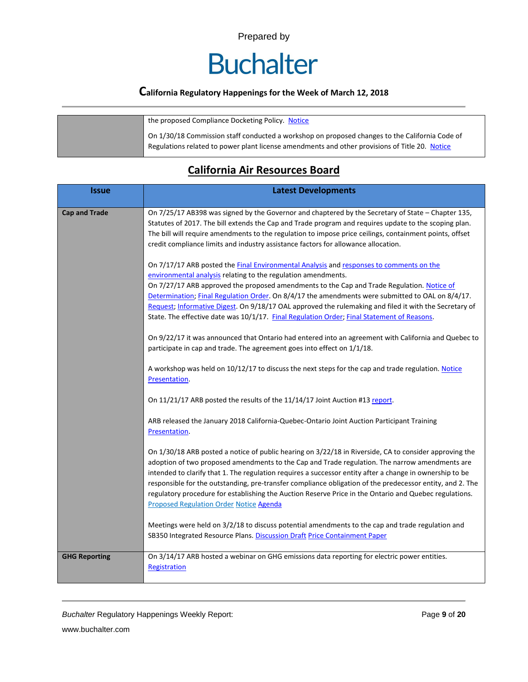# **Buchalter**

## **California Regulatory Happenings for the Week of March 12, 2018**

| the proposed Compliance Docketing Policy. Notice                                                                                                                                                 |
|--------------------------------------------------------------------------------------------------------------------------------------------------------------------------------------------------|
| On 1/30/18 Commission staff conducted a workshop on proposed changes to the California Code of<br>Regulations related to power plant license amendments and other provisions of Title 20. Notice |

## **California Air Resources Board**

| <b>Issue</b>         | <b>Latest Developments</b>                                                                                                                                                                                                                                                                                                                                                                                                                                                                                                                                                                    |
|----------------------|-----------------------------------------------------------------------------------------------------------------------------------------------------------------------------------------------------------------------------------------------------------------------------------------------------------------------------------------------------------------------------------------------------------------------------------------------------------------------------------------------------------------------------------------------------------------------------------------------|
| <b>Cap and Trade</b> | On 7/25/17 AB398 was signed by the Governor and chaptered by the Secretary of State - Chapter 135,<br>Statutes of 2017. The bill extends the Cap and Trade program and requires update to the scoping plan.<br>The bill will require amendments to the regulation to impose price ceilings, containment points, offset<br>credit compliance limits and industry assistance factors for allowance allocation.                                                                                                                                                                                  |
|                      | On 7/17/17 ARB posted the Final Environmental Analysis and responses to comments on the<br>environmental analysis relating to the regulation amendments.<br>On 7/27/17 ARB approved the proposed amendments to the Cap and Trade Regulation. Notice of<br>Determination; Final Regulation Order. On 8/4/17 the amendments were submitted to OAL on 8/4/17.<br>Request; Informative Digest. On 9/18/17 OAL approved the rulemaking and filed it with the Secretary of<br>State. The effective date was 10/1/17. Final Regulation Order; Final Statement of Reasons.                            |
|                      | On 9/22/17 it was announced that Ontario had entered into an agreement with California and Quebec to<br>participate in cap and trade. The agreement goes into effect on 1/1/18.                                                                                                                                                                                                                                                                                                                                                                                                               |
|                      | A workshop was held on 10/12/17 to discuss the next steps for the cap and trade regulation. Notice<br>Presentation.                                                                                                                                                                                                                                                                                                                                                                                                                                                                           |
|                      | On 11/21/17 ARB posted the results of the 11/14/17 Joint Auction #13 report.                                                                                                                                                                                                                                                                                                                                                                                                                                                                                                                  |
|                      | ARB released the January 2018 California-Quebec-Ontario Joint Auction Participant Training<br>Presentation.                                                                                                                                                                                                                                                                                                                                                                                                                                                                                   |
|                      | On 1/30/18 ARB posted a notice of public hearing on 3/22/18 in Riverside, CA to consider approving the<br>adoption of two proposed amendments to the Cap and Trade regulation. The narrow amendments are<br>intended to clarify that 1. The regulation requires a successor entity after a change in ownership to be<br>responsible for the outstanding, pre-transfer compliance obligation of the predecessor entity, and 2. The<br>regulatory procedure for establishing the Auction Reserve Price in the Ontario and Quebec regulations.<br><b>Proposed Regulation Order Notice Agenda</b> |
|                      | Meetings were held on 3/2/18 to discuss potential amendments to the cap and trade regulation and<br>SB350 Integrated Resource Plans. Discussion Draft Price Containment Paper                                                                                                                                                                                                                                                                                                                                                                                                                 |
| <b>GHG Reporting</b> | On 3/14/17 ARB hosted a webinar on GHG emissions data reporting for electric power entities.<br>Registration                                                                                                                                                                                                                                                                                                                                                                                                                                                                                  |

**Buchalter Regulatory Happenings Weekly Report:** Page 9 of 20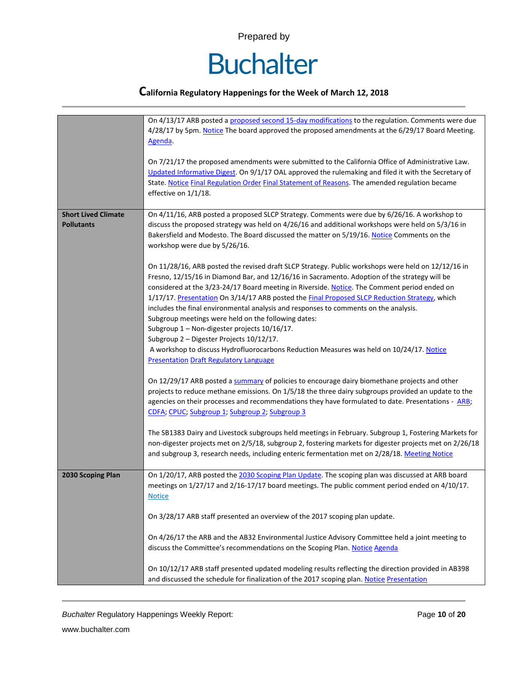

|                                                 | On 4/13/17 ARB posted a proposed second 15-day modifications to the regulation. Comments were due<br>4/28/17 by 5pm. Notice The board approved the proposed amendments at the 6/29/17 Board Meeting.<br>Agenda.<br>On 7/21/17 the proposed amendments were submitted to the California Office of Administrative Law.<br>Updated Informative Digest. On 9/1/17 OAL approved the rulemaking and filed it with the Secretary of<br>State. Notice Final Regulation Order Final Statement of Reasons. The amended regulation became<br>effective on 1/1/18. |
|-------------------------------------------------|--------------------------------------------------------------------------------------------------------------------------------------------------------------------------------------------------------------------------------------------------------------------------------------------------------------------------------------------------------------------------------------------------------------------------------------------------------------------------------------------------------------------------------------------------------|
| <b>Short Lived Climate</b><br><b>Pollutants</b> | On 4/11/16, ARB posted a proposed SLCP Strategy. Comments were due by 6/26/16. A workshop to<br>discuss the proposed strategy was held on 4/26/16 and additional workshops were held on 5/3/16 in<br>Bakersfield and Modesto. The Board discussed the matter on 5/19/16. Notice Comments on the<br>workshop were due by 5/26/16.<br>On 11/28/16, ARB posted the revised draft SLCP Strategy. Public workshops were held on 12/12/16 in<br>Fresno, 12/15/16 in Diamond Bar, and 12/16/16 in Sacramento. Adoption of the strategy will be                |
|                                                 | considered at the 3/23-24/17 Board meeting in Riverside. Notice. The Comment period ended on<br>1/17/17. Presentation On 3/14/17 ARB posted the Final Proposed SLCP Reduction Strategy, which<br>includes the final environmental analysis and responses to comments on the analysis.<br>Subgroup meetings were held on the following dates:<br>Subgroup 1 - Non-digester projects 10/16/17.<br>Subgroup 2 - Digester Projects 10/12/17.<br>A workshop to discuss Hydrofluorocarbons Reduction Measures was held on 10/24/17. Notice                   |
|                                                 | <b>Presentation Draft Regulatory Language</b><br>On 12/29/17 ARB posted a summary of policies to encourage dairy biomethane projects and other<br>projects to reduce methane emissions. On 1/5/18 the three dairy subgroups provided an update to the<br>agencies on their processes and recommendations they have formulated to date. Presentations - ARB;<br>CDFA; CPUC; Subgroup 1; Subgroup 2; Subgroup 3                                                                                                                                          |
|                                                 | The SB1383 Dairy and Livestock subgroups held meetings in February. Subgroup 1, Fostering Markets for<br>non-digester projects met on 2/5/18, subgroup 2, fostering markets for digester projects met on 2/26/18<br>and subgroup 3, research needs, including enteric fermentation met on 2/28/18. Meeting Notice                                                                                                                                                                                                                                      |
| 2030 Scoping Plan                               | On 1/20/17, ARB posted the 2030 Scoping Plan Update. The scoping plan was discussed at ARB board<br>meetings on 1/27/17 and 2/16-17/17 board meetings. The public comment period ended on 4/10/17.<br><b>Notice</b>                                                                                                                                                                                                                                                                                                                                    |
|                                                 | On 3/28/17 ARB staff presented an overview of the 2017 scoping plan update.<br>On 4/26/17 the ARB and the AB32 Environmental Justice Advisory Committee held a joint meeting to<br>discuss the Committee's recommendations on the Scoping Plan. Notice Agenda                                                                                                                                                                                                                                                                                          |
|                                                 | On 10/12/17 ARB staff presented updated modeling results reflecting the direction provided in AB398<br>and discussed the schedule for finalization of the 2017 scoping plan. Notice Presentation                                                                                                                                                                                                                                                                                                                                                       |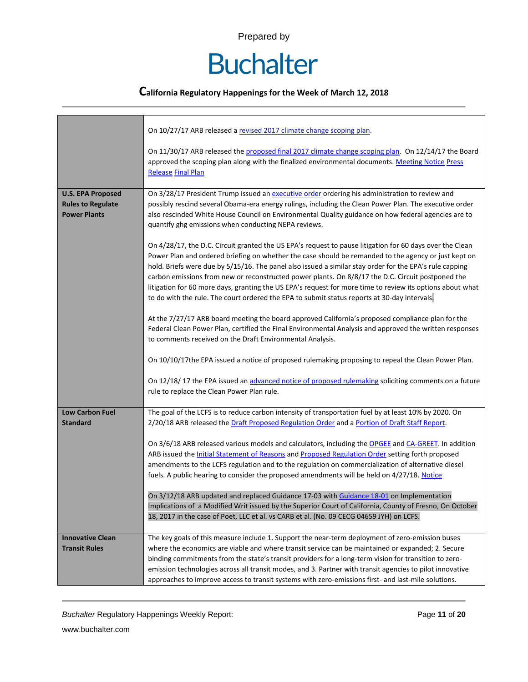# **Buchalter**

### **California Regulatory Happenings for the Week of March 12, 2018**

|                                                                             | On 10/27/17 ARB released a revised 2017 climate change scoping plan.                                                                                                                                                                                                                                                                                                                                                                                                                                                                                                                                                                          |  |  |  |  |  |
|-----------------------------------------------------------------------------|-----------------------------------------------------------------------------------------------------------------------------------------------------------------------------------------------------------------------------------------------------------------------------------------------------------------------------------------------------------------------------------------------------------------------------------------------------------------------------------------------------------------------------------------------------------------------------------------------------------------------------------------------|--|--|--|--|--|
|                                                                             | On 11/30/17 ARB released the proposed final 2017 climate change scoping plan. On 12/14/17 the Board<br>approved the scoping plan along with the finalized environmental documents. Meeting Notice Press<br><b>Release Final Plan</b>                                                                                                                                                                                                                                                                                                                                                                                                          |  |  |  |  |  |
| <b>U.S. EPA Proposed</b><br><b>Rules to Regulate</b><br><b>Power Plants</b> | On 3/28/17 President Trump issued an executive order ordering his administration to review and<br>possibly rescind several Obama-era energy rulings, including the Clean Power Plan. The executive order<br>also rescinded White House Council on Environmental Quality guidance on how federal agencies are to<br>quantify ghg emissions when conducting NEPA reviews.                                                                                                                                                                                                                                                                       |  |  |  |  |  |
|                                                                             | On 4/28/17, the D.C. Circuit granted the US EPA's request to pause litigation for 60 days over the Clean<br>Power Plan and ordered briefing on whether the case should be remanded to the agency or just kept on<br>hold. Briefs were due by 5/15/16. The panel also issued a similar stay order for the EPA's rule capping<br>carbon emissions from new or reconstructed power plants. On 8/8/17 the D.C. Circuit postponed the<br>litigation for 60 more days, granting the US EPA's request for more time to review its options about what<br>to do with the rule. The court ordered the EPA to submit status reports at 30-day intervals. |  |  |  |  |  |
|                                                                             | At the 7/27/17 ARB board meeting the board approved California's proposed compliance plan for the<br>Federal Clean Power Plan, certified the Final Environmental Analysis and approved the written responses<br>to comments received on the Draft Environmental Analysis.                                                                                                                                                                                                                                                                                                                                                                     |  |  |  |  |  |
|                                                                             | On 10/10/17the EPA issued a notice of proposed rulemaking proposing to repeal the Clean Power Plan.                                                                                                                                                                                                                                                                                                                                                                                                                                                                                                                                           |  |  |  |  |  |
|                                                                             | On 12/18/17 the EPA issued an advanced notice of proposed rulemaking soliciting comments on a future<br>rule to replace the Clean Power Plan rule.                                                                                                                                                                                                                                                                                                                                                                                                                                                                                            |  |  |  |  |  |
| <b>Low Carbon Fuel</b><br><b>Standard</b>                                   | The goal of the LCFS is to reduce carbon intensity of transportation fuel by at least 10% by 2020. On<br>2/20/18 ARB released the Draft Proposed Regulation Order and a Portion of Draft Staff Report.                                                                                                                                                                                                                                                                                                                                                                                                                                        |  |  |  |  |  |
|                                                                             | On 3/6/18 ARB released various models and calculators, including the OPGEE and CA-GREET. In addition<br>ARB issued the <b>Initial Statement of Reasons</b> and <b>Proposed Regulation Order</b> setting forth proposed<br>amendments to the LCFS regulation and to the regulation on commercialization of alternative diesel<br>fuels. A public hearing to consider the proposed amendments will be held on 4/27/18. Notice                                                                                                                                                                                                                   |  |  |  |  |  |
|                                                                             | On 3/12/18 ARB updated and replaced Guidance 17-03 with Guidance 18-01 on Implementation<br>Implications of a Modified Writ issued by the Superior Court of California, County of Fresno, On October<br>18, 2017 in the case of Poet, LLC et al. vs CARB et al. (No. 09 CECG 04659 JYH) on LCFS.                                                                                                                                                                                                                                                                                                                                              |  |  |  |  |  |
| <b>Innovative Clean</b><br><b>Transit Rules</b>                             | The key goals of this measure include 1. Support the near-term deployment of zero-emission buses<br>where the economics are viable and where transit service can be maintained or expanded; 2. Secure<br>binding commitments from the state's transit providers for a long-term vision for transition to zero-<br>emission technologies across all transit modes, and 3. Partner with transit agencies to pilot innovative<br>approaches to improve access to transit systems with zero-emissions first- and last-mile solutions.                                                                                                             |  |  |  |  |  |

*Buchalter* Regulatory Happenings Weekly Report: Page **11** of **20**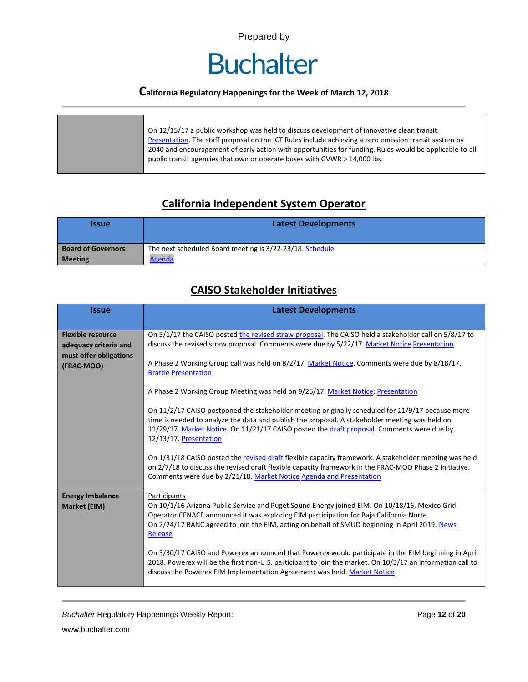

### **California Regulatory Happenings for the Week of March 12, 2018**

| On 12/15/17 a public workshop was held to discuss development of innovative clean transit.<br>Presentation. The staff proposal on the ICT Rules include achieving a zero emission transit system by<br>2040 and encouragement of early action with opportunities for funding. Rules would be applicable to all<br>public transit agencies that own or operate buses with GVWR > 14,000 lbs. |
|---------------------------------------------------------------------------------------------------------------------------------------------------------------------------------------------------------------------------------------------------------------------------------------------------------------------------------------------------------------------------------------------|
|                                                                                                                                                                                                                                                                                                                                                                                             |

### **California Independent System Operator**

| <b>Issue</b>              | <b>Latest Developments</b>                               |
|---------------------------|----------------------------------------------------------|
| <b>Board of Governors</b> | The next scheduled Board meeting is 3/22-23/18. Schedule |
| <b>Meeting</b>            | Agenda                                                   |

### **CAISO Stakeholder Initiatives**

| <b>Issue</b>                                                                              | <b>Latest Developments</b>                                                                                                                                                                                                                                                                                                                                                                                                                                                                                                                                                                                                                                                                               |  |  |  |  |  |
|-------------------------------------------------------------------------------------------|----------------------------------------------------------------------------------------------------------------------------------------------------------------------------------------------------------------------------------------------------------------------------------------------------------------------------------------------------------------------------------------------------------------------------------------------------------------------------------------------------------------------------------------------------------------------------------------------------------------------------------------------------------------------------------------------------------|--|--|--|--|--|
| <b>Flexible resource</b><br>adequacy criteria and<br>must offer obligations<br>(FRAC-MOO) | On 5/1/17 the CAISO posted the revised straw proposal. The CAISO held a stakeholder call on 5/8/17 to<br>discuss the revised straw proposal. Comments were due by 5/22/17. Market Notice Presentation<br>A Phase 2 Working Group call was held on 8/2/17. Market Notice. Comments were due by 8/18/17.<br><b>Brattle Presentation</b>                                                                                                                                                                                                                                                                                                                                                                    |  |  |  |  |  |
|                                                                                           | A Phase 2 Working Group Meeting was held on 9/26/17. Market Notice; Presentation<br>On 11/2/17 CAISO postponed the stakeholder meeting originally scheduled for 11/9/17 because more<br>time is needed to analyze the data and publish the proposal. A stakeholder meeting was held on<br>11/29/17. Market Notice. On 11/21/17 CAISO posted the draft proposal. Comments were due by<br>12/13/17. Presentation<br>On 1/31/18 CAISO posted the revised draft flexible capacity framework. A stakeholder meeting was held<br>on 2/7/18 to discuss the revised draft flexible capacity framework in the FRAC-MOO Phase 2 initiative.<br>Comments were due by 2/21/18. Market Notice Agenda and Presentation |  |  |  |  |  |
| <b>Energy Imbalance</b><br>Market (EIM)                                                   | Participants<br>On 10/1/16 Arizona Public Service and Puget Sound Energy joined EIM. On 10/18/16, Mexico Grid<br>Operator CENACE announced it was exploring EIM participation for Baja California Norte.<br>On 2/24/17 BANC agreed to join the EIM, acting on behalf of SMUD beginning in April 2019. News<br>Release<br>On 5/30/17 CAISO and Powerex announced that Powerex would participate in the EIM beginning in April<br>2018. Powerex will be the first non-U.S. participant to join the market. On 10/3/17 an information call to<br>discuss the Powerex EIM Implementation Agreement was held. Market Notice                                                                                   |  |  |  |  |  |

*Buchalter* Regulatory Happenings Weekly Report: Page **12** of **20**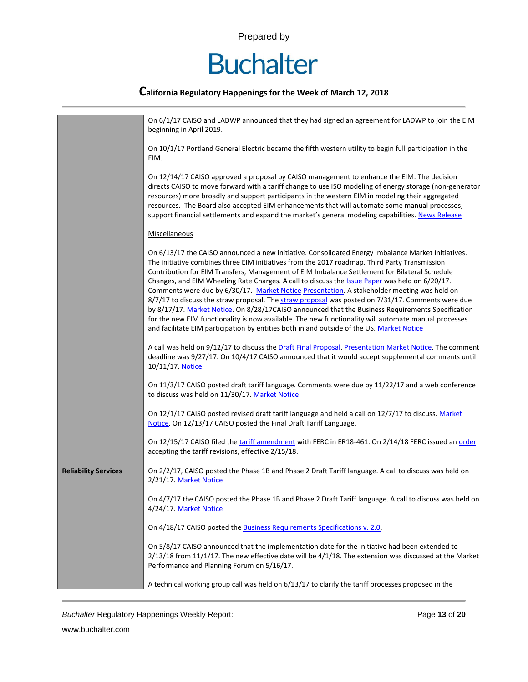# **Buchalter**

### **California Regulatory Happenings for the Week of March 12, 2018**

|                             | On 6/1/17 CAISO and LADWP announced that they had signed an agreement for LADWP to join the EIM<br>beginning in April 2019.                                                                                                                                                                                                                                                                                                                                                                                                                                                                                                                                                                                                                                                                                                                                                                                                 |
|-----------------------------|-----------------------------------------------------------------------------------------------------------------------------------------------------------------------------------------------------------------------------------------------------------------------------------------------------------------------------------------------------------------------------------------------------------------------------------------------------------------------------------------------------------------------------------------------------------------------------------------------------------------------------------------------------------------------------------------------------------------------------------------------------------------------------------------------------------------------------------------------------------------------------------------------------------------------------|
|                             | On 10/1/17 Portland General Electric became the fifth western utility to begin full participation in the<br>EIM.                                                                                                                                                                                                                                                                                                                                                                                                                                                                                                                                                                                                                                                                                                                                                                                                            |
|                             | On 12/14/17 CAISO approved a proposal by CAISO management to enhance the EIM. The decision<br>directs CAISO to move forward with a tariff change to use ISO modeling of energy storage (non-generator<br>resources) more broadly and support participants in the western EIM in modeling their aggregated<br>resources. The Board also accepted EIM enhancements that will automate some manual processes,<br>support financial settlements and expand the market's general modeling capabilities. News Release                                                                                                                                                                                                                                                                                                                                                                                                             |
|                             | Miscellaneous                                                                                                                                                                                                                                                                                                                                                                                                                                                                                                                                                                                                                                                                                                                                                                                                                                                                                                               |
|                             | On 6/13/17 the CAISO announced a new initiative. Consolidated Energy Imbalance Market Initiatives.<br>The initiative combines three EIM initiatives from the 2017 roadmap. Third Party Transmission<br>Contribution for EIM Transfers, Management of EIM Imbalance Settlement for Bilateral Schedule<br>Changes, and EIM Wheeling Rate Charges. A call to discuss the <i>Issue Paper</i> was held on 6/20/17.<br>Comments were due by 6/30/17. Market Notice Presentation. A stakeholder meeting was held on<br>8/7/17 to discuss the straw proposal. The straw proposal was posted on 7/31/17. Comments were due<br>by 8/17/17. Market Notice. On 8/28/17CAISO announced that the Business Requirements Specification<br>for the new EIM functionality is now available. The new functionality will automate manual processes<br>and facilitate EIM participation by entities both in and outside of the US. Market Notice |
|                             | A call was held on 9/12/17 to discuss the Draft Final Proposal. Presentation Market Notice. The comment<br>deadline was 9/27/17. On 10/4/17 CAISO announced that it would accept supplemental comments until<br>10/11/17. Notice                                                                                                                                                                                                                                                                                                                                                                                                                                                                                                                                                                                                                                                                                            |
|                             | On 11/3/17 CAISO posted draft tariff language. Comments were due by 11/22/17 and a web conference<br>to discuss was held on 11/30/17. Market Notice                                                                                                                                                                                                                                                                                                                                                                                                                                                                                                                                                                                                                                                                                                                                                                         |
|                             | On 12/1/17 CAISO posted revised draft tariff language and held a call on 12/7/17 to discuss. Market<br>Notice. On 12/13/17 CAISO posted the Final Draft Tariff Language.                                                                                                                                                                                                                                                                                                                                                                                                                                                                                                                                                                                                                                                                                                                                                    |
|                             | On 12/15/17 CAISO filed the tariff amendment with FERC in ER18-461. On 2/14/18 FERC issued an order<br>accepting the tariff revisions, effective 2/15/18.                                                                                                                                                                                                                                                                                                                                                                                                                                                                                                                                                                                                                                                                                                                                                                   |
| <b>Reliability Services</b> | On 2/2/17, CAISO posted the Phase 1B and Phase 2 Draft Tariff language. A call to discuss was held on<br>2/21/17. Market Notice                                                                                                                                                                                                                                                                                                                                                                                                                                                                                                                                                                                                                                                                                                                                                                                             |
|                             | On 4/7/17 the CAISO posted the Phase 1B and Phase 2 Draft Tariff language. A call to discuss was held on<br>4/24/17. Market Notice                                                                                                                                                                                                                                                                                                                                                                                                                                                                                                                                                                                                                                                                                                                                                                                          |
|                             | On 4/18/17 CAISO posted the Business Requirements Specifications v. 2.0.                                                                                                                                                                                                                                                                                                                                                                                                                                                                                                                                                                                                                                                                                                                                                                                                                                                    |
|                             | On 5/8/17 CAISO announced that the implementation date for the initiative had been extended to<br>$2/13/18$ from 11/1/17. The new effective date will be $4/1/18$ . The extension was discussed at the Market<br>Performance and Planning Forum on 5/16/17.                                                                                                                                                                                                                                                                                                                                                                                                                                                                                                                                                                                                                                                                 |
|                             | A technical working group call was held on 6/13/17 to clarify the tariff processes proposed in the                                                                                                                                                                                                                                                                                                                                                                                                                                                                                                                                                                                                                                                                                                                                                                                                                          |

*Buchalter* Regulatory Happenings Weekly Report: Page **13** of **20**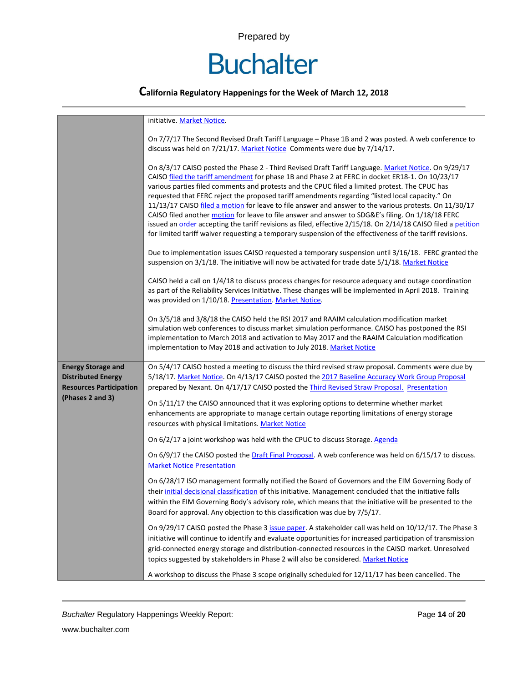# **Buchalter**

|                                                                                                              | initiative. Market Notice.                                                                                                                                                                                                                                                                                                                                                                                                                                                                                                                                                                                                                                                                                                                                                                                                                               |
|--------------------------------------------------------------------------------------------------------------|----------------------------------------------------------------------------------------------------------------------------------------------------------------------------------------------------------------------------------------------------------------------------------------------------------------------------------------------------------------------------------------------------------------------------------------------------------------------------------------------------------------------------------------------------------------------------------------------------------------------------------------------------------------------------------------------------------------------------------------------------------------------------------------------------------------------------------------------------------|
|                                                                                                              | On 7/7/17 The Second Revised Draft Tariff Language - Phase 1B and 2 was posted. A web conference to<br>discuss was held on 7/21/17. Market Notice Comments were due by 7/14/17.                                                                                                                                                                                                                                                                                                                                                                                                                                                                                                                                                                                                                                                                          |
|                                                                                                              | On 8/3/17 CAISO posted the Phase 2 - Third Revised Draft Tariff Language. Market Notice. On 9/29/17<br>CAISO filed the tariff amendment for phase 1B and Phase 2 at FERC in docket ER18-1. On 10/23/17<br>various parties filed comments and protests and the CPUC filed a limited protest. The CPUC has<br>requested that FERC reject the proposed tariff amendments regarding "listed local capacity." On<br>11/13/17 CAISO filed a motion for leave to file answer and answer to the various protests. On 11/30/17<br>CAISO filed another motion for leave to file answer and answer to SDG&E's filing. On 1/18/18 FERC<br>issued an order accepting the tariff revisions as filed, effective 2/15/18. On 2/14/18 CAISO filed a petition<br>for limited tariff waiver requesting a temporary suspension of the effectiveness of the tariff revisions. |
|                                                                                                              | Due to implementation issues CAISO requested a temporary suspension until 3/16/18. FERC granted the<br>suspension on 3/1/18. The initiative will now be activated for trade date 5/1/18. Market Notice                                                                                                                                                                                                                                                                                                                                                                                                                                                                                                                                                                                                                                                   |
|                                                                                                              | CAISO held a call on 1/4/18 to discuss process changes for resource adequacy and outage coordination<br>as part of the Reliability Services Initiative. These changes will be implemented in April 2018. Training<br>was provided on 1/10/18. Presentation. Market Notice.                                                                                                                                                                                                                                                                                                                                                                                                                                                                                                                                                                               |
|                                                                                                              | On 3/5/18 and 3/8/18 the CAISO held the RSI 2017 and RAAIM calculation modification market<br>simulation web conferences to discuss market simulation performance. CAISO has postponed the RSI<br>implementation to March 2018 and activation to May 2017 and the RAAIM Calculation modification<br>implementation to May 2018 and activation to July 2018. Market Notice                                                                                                                                                                                                                                                                                                                                                                                                                                                                                |
| <b>Energy Storage and</b><br><b>Distributed Energy</b><br><b>Resources Participation</b><br>(Phases 2 and 3) | On 5/4/17 CAISO hosted a meeting to discuss the third revised straw proposal. Comments were due by<br>5/18/17. Market Notice. On 4/13/17 CAISO posted the 2017 Baseline Accuracy Work Group Proposal<br>prepared by Nexant. On 4/17/17 CAISO posted the Third Revised Straw Proposal. Presentation                                                                                                                                                                                                                                                                                                                                                                                                                                                                                                                                                       |
|                                                                                                              | On 5/11/17 the CAISO announced that it was exploring options to determine whether market<br>enhancements are appropriate to manage certain outage reporting limitations of energy storage<br>resources with physical limitations. Market Notice                                                                                                                                                                                                                                                                                                                                                                                                                                                                                                                                                                                                          |
|                                                                                                              | On 6/2/17 a joint workshop was held with the CPUC to discuss Storage. Agenda                                                                                                                                                                                                                                                                                                                                                                                                                                                                                                                                                                                                                                                                                                                                                                             |
|                                                                                                              | On 6/9/17 the CAISO posted the Draft Final Proposal. A web conference was held on 6/15/17 to discuss.<br><b>Market Notice Presentation</b>                                                                                                                                                                                                                                                                                                                                                                                                                                                                                                                                                                                                                                                                                                               |
|                                                                                                              | On 6/28/17 ISO management formally notified the Board of Governors and the EIM Governing Body of<br>their initial decisional classification of this initiative. Management concluded that the initiative falls<br>within the EIM Governing Body's advisory role, which means that the initiative will be presented to the<br>Board for approval. Any objection to this classification was due by 7/5/17.                                                                                                                                                                                                                                                                                                                                                                                                                                                 |
|                                                                                                              | On 9/29/17 CAISO posted the Phase 3 issue paper. A stakeholder call was held on 10/12/17. The Phase 3<br>initiative will continue to identify and evaluate opportunities for increased participation of transmission<br>grid-connected energy storage and distribution-connected resources in the CAISO market. Unresolved<br>topics suggested by stakeholders in Phase 2 will also be considered. Market Notice                                                                                                                                                                                                                                                                                                                                                                                                                                         |
|                                                                                                              | A workshop to discuss the Phase 3 scope originally scheduled for 12/11/17 has been cancelled. The                                                                                                                                                                                                                                                                                                                                                                                                                                                                                                                                                                                                                                                                                                                                                        |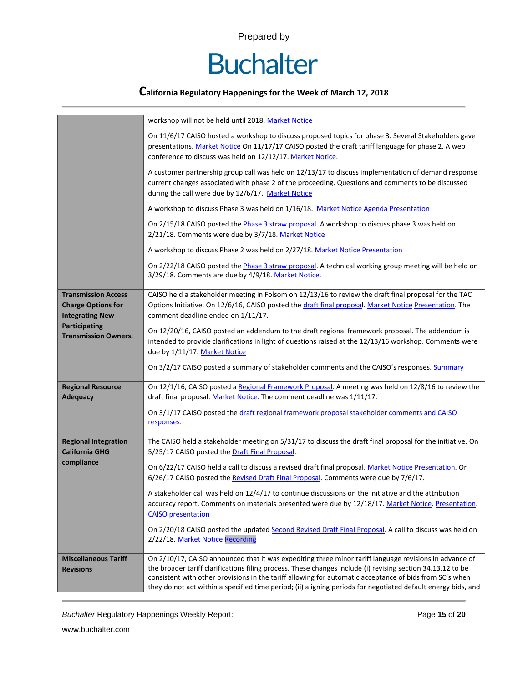

### **California Regulatory Happenings for the Week of March 12, 2018**

|                                                                                                                                          | workshop will not be held until 2018. Market Notice                                                                                                                                                                                                                                                                                     |  |  |  |
|------------------------------------------------------------------------------------------------------------------------------------------|-----------------------------------------------------------------------------------------------------------------------------------------------------------------------------------------------------------------------------------------------------------------------------------------------------------------------------------------|--|--|--|
|                                                                                                                                          | On 11/6/17 CAISO hosted a workshop to discuss proposed topics for phase 3. Several Stakeholders gave<br>presentations. Market Notice On 11/17/17 CAISO posted the draft tariff language for phase 2. A web<br>conference to discuss was held on 12/12/17. Market Notice.                                                                |  |  |  |
|                                                                                                                                          | A customer partnership group call was held on 12/13/17 to discuss implementation of demand response<br>current changes associated with phase 2 of the proceeding. Questions and comments to be discussed<br>during the call were due by 12/6/17. Market Notice                                                                          |  |  |  |
|                                                                                                                                          | A workshop to discuss Phase 3 was held on 1/16/18. Market Notice Agenda Presentation                                                                                                                                                                                                                                                    |  |  |  |
|                                                                                                                                          | On 2/15/18 CAISO posted the Phase 3 straw proposal. A workshop to discuss phase 3 was held on<br>2/21/18. Comments were due by 3/7/18. Market Notice                                                                                                                                                                                    |  |  |  |
|                                                                                                                                          | A workshop to discuss Phase 2 was held on 2/27/18. Market Notice Presentation                                                                                                                                                                                                                                                           |  |  |  |
|                                                                                                                                          | On 2/22/18 CAISO posted the Phase 3 straw proposal. A technical working group meeting will be held on<br>3/29/18. Comments are due by 4/9/18. Market Notice.                                                                                                                                                                            |  |  |  |
| <b>Transmission Access</b><br><b>Charge Options for</b><br><b>Integrating New</b><br><b>Participating</b><br><b>Transmission Owners.</b> | CAISO held a stakeholder meeting in Folsom on 12/13/16 to review the draft final proposal for the TAC<br>Options Initiative. On 12/6/16, CAISO posted the draft final proposal. Market Notice Presentation. The<br>comment deadline ended on 1/11/17.                                                                                   |  |  |  |
|                                                                                                                                          | On 12/20/16, CAISO posted an addendum to the draft regional framework proposal. The addendum is<br>intended to provide clarifications in light of questions raised at the 12/13/16 workshop. Comments were<br>due by 1/11/17. Market Notice                                                                                             |  |  |  |
|                                                                                                                                          | On 3/2/17 CAISO posted a summary of stakeholder comments and the CAISO's responses. Summary                                                                                                                                                                                                                                             |  |  |  |
| <b>Regional Resource</b><br><b>Adequacy</b>                                                                                              | On 12/1/16, CAISO posted a Regional Framework Proposal. A meeting was held on 12/8/16 to review the<br>draft final proposal. Market Notice. The comment deadline was 1/11/17.                                                                                                                                                           |  |  |  |
|                                                                                                                                          | On 3/1/17 CAISO posted the draft regional framework proposal stakeholder comments and CAISO<br>responses.                                                                                                                                                                                                                               |  |  |  |
| <b>Regional Integration</b><br><b>California GHG</b>                                                                                     | The CAISO held a stakeholder meeting on 5/31/17 to discuss the draft final proposal for the initiative. On<br>5/25/17 CAISO posted the Draft Final Proposal.                                                                                                                                                                            |  |  |  |
| compliance                                                                                                                               | On 6/22/17 CAISO held a call to discuss a revised draft final proposal. Market Notice Presentation. On<br>6/26/17 CAISO posted the Revised Draft Final Proposal. Comments were due by 7/6/17.                                                                                                                                           |  |  |  |
|                                                                                                                                          | A stakeholder call was held on 12/4/17 to continue discussions on the initiative and the attribution<br>accuracy report. Comments on materials presented were due by 12/18/17. Market Notice. Presentation.<br><b>CAISO</b> presentation                                                                                                |  |  |  |
|                                                                                                                                          | On 2/20/18 CAISO posted the updated Second Revised Draft Final Proposal. A call to discuss was held on<br>2/22/18. Market Notice Recording                                                                                                                                                                                              |  |  |  |
| <b>Miscellaneous Tariff</b>                                                                                                              | On 2/10/17, CAISO announced that it was expediting three minor tariff language revisions in advance of                                                                                                                                                                                                                                  |  |  |  |
| <b>Revisions</b>                                                                                                                         | the broader tariff clarifications filing process. These changes include (i) revising section 34.13.12 to be<br>consistent with other provisions in the tariff allowing for automatic acceptance of bids from SC's when<br>they do not act within a specified time period; (ii) aligning periods for negotiated default energy bids, and |  |  |  |

*Buchalter* Regulatory Happenings Weekly Report: Page **15** of **20**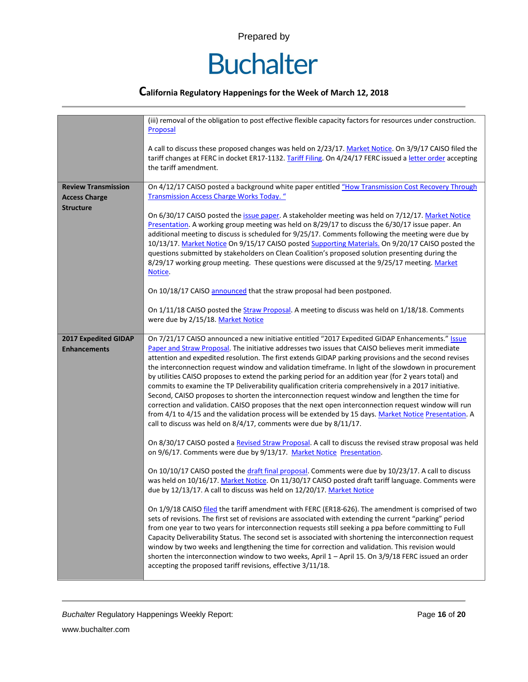

|                                             | (iii) removal of the obligation to post effective flexible capacity factors for resources under construction.<br>Proposal                                                                                                                                                                                                                                                                                                                                                                                                                                                                                                                                                                                                                                                                                                                                                                                                                                                                                                        |  |  |  |  |  |
|---------------------------------------------|----------------------------------------------------------------------------------------------------------------------------------------------------------------------------------------------------------------------------------------------------------------------------------------------------------------------------------------------------------------------------------------------------------------------------------------------------------------------------------------------------------------------------------------------------------------------------------------------------------------------------------------------------------------------------------------------------------------------------------------------------------------------------------------------------------------------------------------------------------------------------------------------------------------------------------------------------------------------------------------------------------------------------------|--|--|--|--|--|
|                                             | A call to discuss these proposed changes was held on 2/23/17. Market Notice. On 3/9/17 CAISO filed the<br>tariff changes at FERC in docket ER17-1132. Tariff Filing. On 4/24/17 FERC issued a letter order accepting<br>the tariff amendment.                                                                                                                                                                                                                                                                                                                                                                                                                                                                                                                                                                                                                                                                                                                                                                                    |  |  |  |  |  |
| <b>Review Transmission</b>                  | On 4/12/17 CAISO posted a background white paper entitled "How Transmission Cost Recovery Through                                                                                                                                                                                                                                                                                                                                                                                                                                                                                                                                                                                                                                                                                                                                                                                                                                                                                                                                |  |  |  |  |  |
| <b>Access Charge</b>                        | Transmission Access Charge Works Today. "                                                                                                                                                                                                                                                                                                                                                                                                                                                                                                                                                                                                                                                                                                                                                                                                                                                                                                                                                                                        |  |  |  |  |  |
| <b>Structure</b>                            |                                                                                                                                                                                                                                                                                                                                                                                                                                                                                                                                                                                                                                                                                                                                                                                                                                                                                                                                                                                                                                  |  |  |  |  |  |
|                                             | On 6/30/17 CAISO posted the issue paper. A stakeholder meeting was held on 7/12/17. Market Notice<br>Presentation. A working group meeting was held on 8/29/17 to discuss the 6/30/17 issue paper. An<br>additional meeting to discuss is scheduled for 9/25/17. Comments following the meeting were due by<br>10/13/17. Market Notice On 9/15/17 CAISO posted Supporting Materials. On 9/20/17 CAISO posted the<br>questions submitted by stakeholders on Clean Coalition's proposed solution presenting during the<br>8/29/17 working group meeting. These questions were discussed at the 9/25/17 meeting. Market<br>Notice.                                                                                                                                                                                                                                                                                                                                                                                                  |  |  |  |  |  |
|                                             | On 10/18/17 CAISO announced that the straw proposal had been postponed.                                                                                                                                                                                                                                                                                                                                                                                                                                                                                                                                                                                                                                                                                                                                                                                                                                                                                                                                                          |  |  |  |  |  |
|                                             |                                                                                                                                                                                                                                                                                                                                                                                                                                                                                                                                                                                                                                                                                                                                                                                                                                                                                                                                                                                                                                  |  |  |  |  |  |
|                                             | On 1/11/18 CAISO posted the Straw Proposal. A meeting to discuss was held on 1/18/18. Comments<br>were due by 2/15/18. Market Notice                                                                                                                                                                                                                                                                                                                                                                                                                                                                                                                                                                                                                                                                                                                                                                                                                                                                                             |  |  |  |  |  |
| 2017 Expedited GIDAP<br><b>Enhancements</b> | On 7/21/17 CAISO announced a new initiative entitled "2017 Expedited GIDAP Enhancements." Issue<br>Paper and Straw Proposal. The initiative addresses two issues that CAISO believes merit immediate<br>attention and expedited resolution. The first extends GIDAP parking provisions and the second revises<br>the interconnection request window and validation timeframe. In light of the slowdown in procurement<br>by utilities CAISO proposes to extend the parking period for an addition year (for 2 years total) and<br>commits to examine the TP Deliverability qualification criteria comprehensively in a 2017 initiative.<br>Second, CAISO proposes to shorten the interconnection request window and lengthen the time for<br>correction and validation. CAISO proposes that the next open interconnection request window will run<br>from 4/1 to 4/15 and the validation process will be extended by 15 days. Market Notice Presentation. A<br>call to discuss was held on 8/4/17, comments were due by 8/11/17. |  |  |  |  |  |
|                                             | On 8/30/17 CAISO posted a Revised Straw Proposal. A call to discuss the revised straw proposal was held<br>on 9/6/17. Comments were due by 9/13/17. Market Notice Presentation.                                                                                                                                                                                                                                                                                                                                                                                                                                                                                                                                                                                                                                                                                                                                                                                                                                                  |  |  |  |  |  |
|                                             | On 10/10/17 CAISO posted the draft final proposal. Comments were due by 10/23/17. A call to discuss<br>was held on 10/16/17. Market Notice. On 11/30/17 CAISO posted draft tariff language. Comments were<br>due by 12/13/17. A call to discuss was held on 12/20/17. Market Notice                                                                                                                                                                                                                                                                                                                                                                                                                                                                                                                                                                                                                                                                                                                                              |  |  |  |  |  |
|                                             | On 1/9/18 CAISO filed the tariff amendment with FERC (ER18-626). The amendment is comprised of two<br>sets of revisions. The first set of revisions are associated with extending the current "parking" period<br>from one year to two years for interconnection requests still seeking a ppa before committing to Full<br>Capacity Deliverability Status. The second set is associated with shortening the interconnection request<br>window by two weeks and lengthening the time for correction and validation. This revision would<br>shorten the interconnection window to two weeks, April 1 - April 15. On 3/9/18 FERC issued an order<br>accepting the proposed tariff revisions, effective 3/11/18.                                                                                                                                                                                                                                                                                                                     |  |  |  |  |  |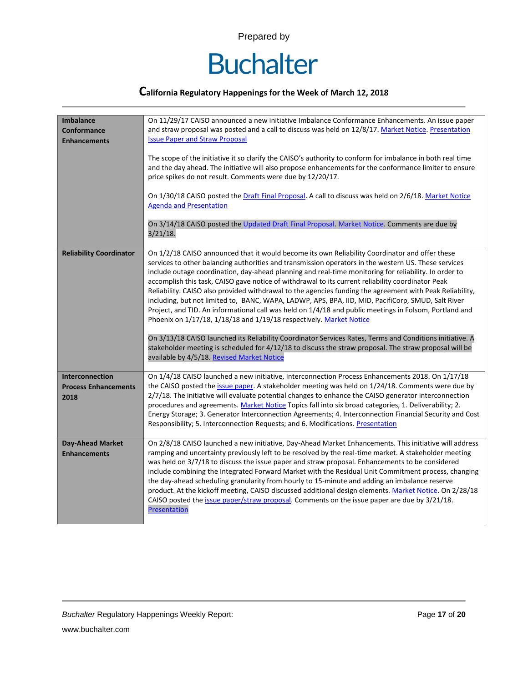

| <b>Imbalance</b><br>Conformance<br><b>Enhancements</b> | On 11/29/17 CAISO announced a new initiative Imbalance Conformance Enhancements. An issue paper<br>and straw proposal was posted and a call to discuss was held on 12/8/17. Market Notice. Presentation<br><b>Issue Paper and Straw Proposal</b><br>The scope of the initiative it so clarify the CAISO's authority to conform for imbalance in both real time<br>and the day ahead. The initiative will also propose enhancements for the conformance limiter to ensure<br>price spikes do not result. Comments were due by 12/20/17.<br>On 1/30/18 CAISO posted the Draft Final Proposal. A call to discuss was held on 2/6/18. Market Notice<br><b>Agenda and Presentation</b><br>On 3/14/18 CAISO posted the Updated Draft Final Proposal. Market Notice. Comments are due by<br>$3/21/18$ .                                                                                                                                                                                                                                                                                            |  |  |  |
|--------------------------------------------------------|---------------------------------------------------------------------------------------------------------------------------------------------------------------------------------------------------------------------------------------------------------------------------------------------------------------------------------------------------------------------------------------------------------------------------------------------------------------------------------------------------------------------------------------------------------------------------------------------------------------------------------------------------------------------------------------------------------------------------------------------------------------------------------------------------------------------------------------------------------------------------------------------------------------------------------------------------------------------------------------------------------------------------------------------------------------------------------------------|--|--|--|
| <b>Reliability Coordinator</b>                         | On 1/2/18 CAISO announced that it would become its own Reliability Coordinator and offer these<br>services to other balancing authorities and transmission operators in the western US. These services<br>include outage coordination, day-ahead planning and real-time monitoring for reliability. In order to<br>accomplish this task, CAISO gave notice of withdrawal to its current reliability coordinator Peak<br>Reliability. CAISO also provided withdrawal to the agencies funding the agreement with Peak Reliability,<br>including, but not limited to, BANC, WAPA, LADWP, APS, BPA, IID, MID, PacifiCorp, SMUD, Salt River<br>Project, and TID. An informational call was held on 1/4/18 and public meetings in Folsom, Portland and<br>Phoenix on 1/17/18, 1/18/18 and 1/19/18 respectively. Market Notice<br>On 3/13/18 CAISO launched its Reliability Coordinator Services Rates, Terms and Conditions initiative. A<br>stakeholder meeting is scheduled for 4/12/18 to discuss the straw proposal. The straw proposal will be<br>available by 4/5/18. Revised Market Notice |  |  |  |
| Interconnection<br><b>Process Enhancements</b><br>2018 | On 1/4/18 CAISO launched a new initiative, Interconnection Process Enhancements 2018. On 1/17/18<br>the CAISO posted the issue paper. A stakeholder meeting was held on 1/24/18. Comments were due by<br>2/7/18. The initiative will evaluate potential changes to enhance the CAISO generator interconnection<br>procedures and agreements. Market Notice Topics fall into six broad categories, 1. Deliverability; 2.<br>Energy Storage; 3. Generator Interconnection Agreements; 4. Interconnection Financial Security and Cost<br>Responsibility; 5. Interconnection Requests; and 6. Modifications. Presentation                                                                                                                                                                                                                                                                                                                                                                                                                                                                       |  |  |  |
| <b>Day-Ahead Market</b><br><b>Enhancements</b>         | On 2/8/18 CAISO launched a new initiative, Day-Ahead Market Enhancements. This initiative will address<br>ramping and uncertainty previously left to be resolved by the real-time market. A stakeholder meeting<br>was held on 3/7/18 to discuss the issue paper and straw proposal. Enhancements to be considered<br>include combining the Integrated Forward Market with the Residual Unit Commitment process, changing<br>the day-ahead scheduling granularity from hourly to 15-minute and adding an imbalance reserve<br>product. At the kickoff meeting, CAISO discussed additional design elements. Market Notice. On 2/28/18<br>CAISO posted the issue paper/straw proposal. Comments on the issue paper are due by 3/21/18.<br><b>Presentation</b>                                                                                                                                                                                                                                                                                                                                 |  |  |  |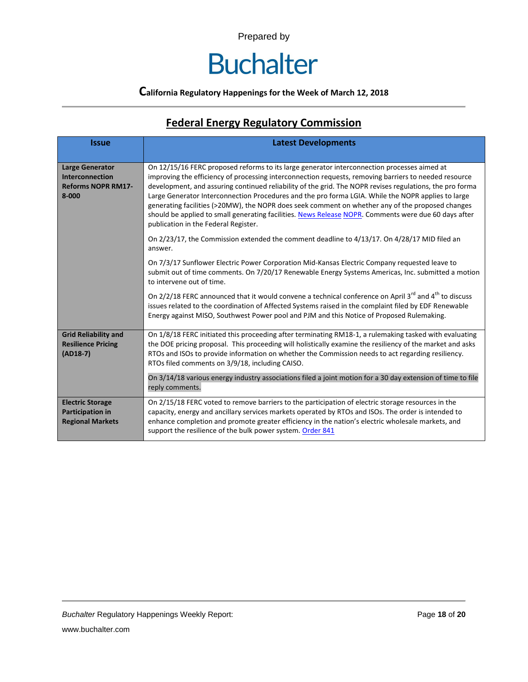# **Buchalter**

#### **California Regulatory Happenings for the Week of March 12, 2018**

## **Federal Energy Regulatory Commission**

| <b>Issue</b>                                                                           | <b>Latest Developments</b>                                                                                                                                                                                                                                                                                                                                                                                                                                                                                                                                                                                                                                                 |  |  |  |  |
|----------------------------------------------------------------------------------------|----------------------------------------------------------------------------------------------------------------------------------------------------------------------------------------------------------------------------------------------------------------------------------------------------------------------------------------------------------------------------------------------------------------------------------------------------------------------------------------------------------------------------------------------------------------------------------------------------------------------------------------------------------------------------|--|--|--|--|
| <b>Large Generator</b><br><b>Interconnection</b><br><b>Reforms NOPR RM17-</b><br>8-000 | On 12/15/16 FERC proposed reforms to its large generator interconnection processes aimed at<br>improving the efficiency of processing interconnection requests, removing barriers to needed resource<br>development, and assuring continued reliability of the grid. The NOPR revises regulations, the pro forma<br>Large Generator Interconnection Procedures and the pro forma LGIA. While the NOPR applies to large<br>generating facilities (>20MW), the NOPR does seek comment on whether any of the proposed changes<br>should be applied to small generating facilities. News Release NOPR. Comments were due 60 days after<br>publication in the Federal Register. |  |  |  |  |
|                                                                                        | On 2/23/17, the Commission extended the comment deadline to 4/13/17. On 4/28/17 MID filed an<br>answer.                                                                                                                                                                                                                                                                                                                                                                                                                                                                                                                                                                    |  |  |  |  |
|                                                                                        | On 7/3/17 Sunflower Electric Power Corporation Mid-Kansas Electric Company requested leave to<br>submit out of time comments. On 7/20/17 Renewable Energy Systems Americas, Inc. submitted a motion<br>to intervene out of time.                                                                                                                                                                                                                                                                                                                                                                                                                                           |  |  |  |  |
|                                                                                        | On $2/2/18$ FERC announced that it would convene a technical conference on April 3 <sup>rd</sup> and 4 <sup>th</sup> to discuss<br>issues related to the coordination of Affected Systems raised in the complaint filed by EDF Renewable<br>Energy against MISO, Southwest Power pool and PJM and this Notice of Proposed Rulemaking.                                                                                                                                                                                                                                                                                                                                      |  |  |  |  |
| <b>Grid Reliability and</b><br><b>Resilience Pricing</b><br>$(AD18-7)$                 | On 1/8/18 FERC initiated this proceeding after terminating RM18-1, a rulemaking tasked with evaluating<br>the DOE pricing proposal. This proceeding will holistically examine the resiliency of the market and asks<br>RTOs and ISOs to provide information on whether the Commission needs to act regarding resiliency.<br>RTOs filed comments on 3/9/18, including CAISO.                                                                                                                                                                                                                                                                                                |  |  |  |  |
|                                                                                        | On 3/14/18 various energy industry associations filed a joint motion for a 30 day extension of time to file<br>reply comments.                                                                                                                                                                                                                                                                                                                                                                                                                                                                                                                                             |  |  |  |  |
| <b>Electric Storage</b><br>Participation in<br><b>Regional Markets</b>                 | On 2/15/18 FERC voted to remove barriers to the participation of electric storage resources in the<br>capacity, energy and ancillary services markets operated by RTOs and ISOs. The order is intended to<br>enhance completion and promote greater efficiency in the nation's electric wholesale markets, and<br>support the resilience of the bulk power system. Order 841                                                                                                                                                                                                                                                                                               |  |  |  |  |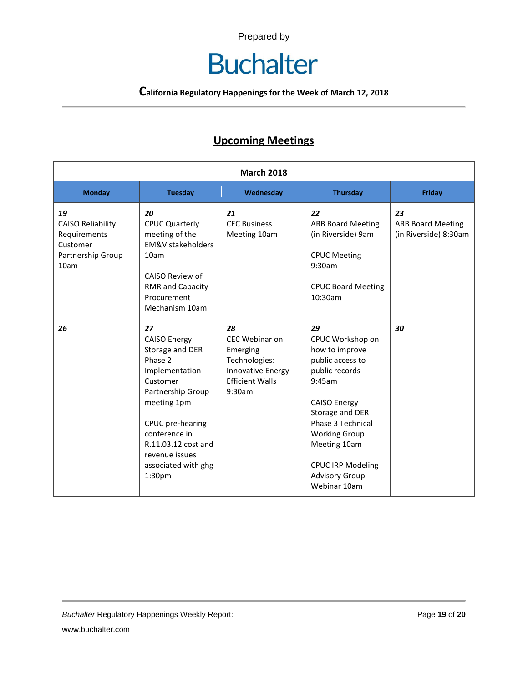# **Buchalter**

**California Regulatory Happenings for the Week of March 12, 2018**

## **Upcoming Meetings**

| <b>March 2018</b>                                                                       |                                                                                                                                                                                                                                          |                                                                                                                   |                                                                                                                                                                                                                                                                      |                                                         |
|-----------------------------------------------------------------------------------------|------------------------------------------------------------------------------------------------------------------------------------------------------------------------------------------------------------------------------------------|-------------------------------------------------------------------------------------------------------------------|----------------------------------------------------------------------------------------------------------------------------------------------------------------------------------------------------------------------------------------------------------------------|---------------------------------------------------------|
| <b>Monday</b>                                                                           | <b>Tuesday</b>                                                                                                                                                                                                                           | Wednesday                                                                                                         | <b>Thursday</b>                                                                                                                                                                                                                                                      | <b>Friday</b>                                           |
| 19<br><b>CAISO Reliability</b><br>Requirements<br>Customer<br>Partnership Group<br>10am | 20<br><b>CPUC Quarterly</b><br>meeting of the<br><b>FM&amp;V stakeholders</b><br>10am<br>CAISO Review of<br><b>RMR and Capacity</b><br>Procurement<br>Mechanism 10am                                                                     | 21<br><b>CEC Business</b><br>Meeting 10am                                                                         | 22<br><b>ARB Board Meeting</b><br>(in Riverside) 9am<br><b>CPUC Meeting</b><br>9:30am<br><b>CPUC Board Meeting</b><br>10:30am                                                                                                                                        | 23<br><b>ARB Board Meeting</b><br>(in Riverside) 8:30am |
| 26                                                                                      | 27<br><b>CAISO Energy</b><br>Storage and DER<br>Phase 2<br>Implementation<br>Customer<br>Partnership Group<br>meeting 1pm<br>CPUC pre-hearing<br>conference in<br>R.11.03.12 cost and<br>revenue issues<br>associated with ghg<br>1:30pm | 28<br>CEC Webinar on<br>Emerging<br>Technologies:<br><b>Innovative Energy</b><br><b>Ffficient Walls</b><br>9:30am | 29<br>CPUC Workshop on<br>how to improve<br>public access to<br>public records<br>9:45am<br><b>CAISO Energy</b><br>Storage and DER<br>Phase 3 Technical<br><b>Working Group</b><br>Meeting 10am<br><b>CPUC IRP Modeling</b><br><b>Advisory Group</b><br>Webinar 10am | 30                                                      |